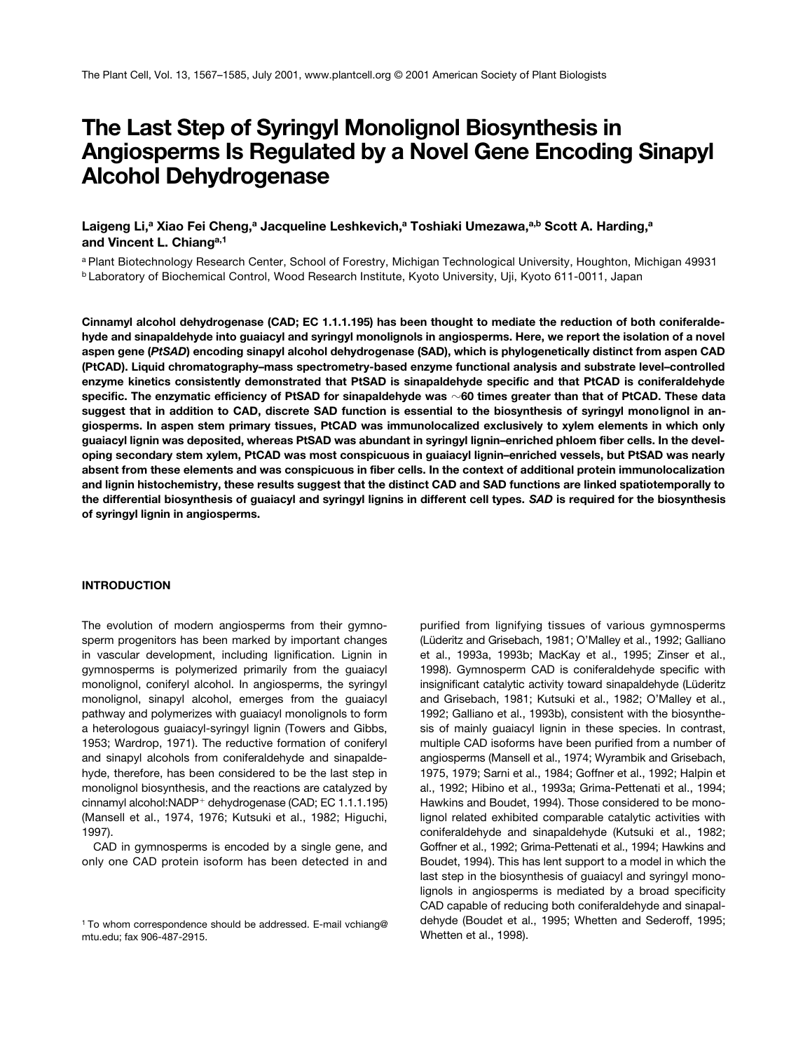# **The Last Step of Syringyl Monolignol Biosynthesis in Angiosperms Is Regulated by a Novel Gene Encoding Sinapyl Alcohol Dehydrogenase**

Laigeng Li,<sup>a</sup> Xiao Fei Cheng,<sup>a</sup> Jacqueline Leshkevich,<sup>a</sup> Toshiaki Umezawa,<sup>a,b</sup> Scott A. Harding,<sup>a</sup> **and Vincent L. Chianga,1**

<sup>a</sup> Plant Biotechnology Research Center, School of Forestry, Michigan Technological University, Houghton, Michigan 49931 **b Laboratory of Biochemical Control, Wood Research Institute, Kyoto University, Uji, Kyoto 611-0011, Japan** 

**Cinnamyl alcohol dehydrogenase (CAD; EC 1.1.1.195) has been thought to mediate the reduction of both coniferaldehyde and sinapaldehyde into guaiacyl and syringyl monolignols in angiosperms. Here, we report the isolation of a novel aspen gene (***PtSAD***) encoding sinapyl alcohol dehydrogenase (SAD), which is phylogenetically distinct from aspen CAD (PtCAD). Liquid chromatography–mass spectrometry-based enzyme functional analysis and substrate level–controlled enzyme kinetics consistently demonstrated that PtSAD is sinapaldehyde specific and that PtCAD is coniferaldehyde specific. The enzymatic efficiency of PtSAD for sinapaldehyde was** -**60 times greater than that of PtCAD. These data suggest that in addition to CAD, discrete SAD function is essential to the biosynthesis of syringyl monolignol in angiosperms. In aspen stem primary tissues, PtCAD was immunolocalized exclusively to xylem elements in which only guaiacyl lignin was deposited, whereas PtSAD was abundant in syringyl lignin–enriched phloem fiber cells. In the developing secondary stem xylem, PtCAD was most conspicuous in guaiacyl lignin–enriched vessels, but PtSAD was nearly absent from these elements and was conspicuous in fiber cells. In the context of additional protein immunolocalization and lignin histochemistry, these results suggest that the distinct CAD and SAD functions are linked spatiotemporally to the differential biosynthesis of guaiacyl and syringyl lignins in different cell types.** *SAD* **is required for the biosynthesis of syringyl lignin in angiosperms.**

## **INTRODUCTION**

The evolution of modern angiosperms from their gymnosperm progenitors has been marked by important changes in vascular development, including lignification. Lignin in gymnosperms is polymerized primarily from the guaiacyl monolignol, coniferyl alcohol. In angiosperms, the syringyl monolignol, sinapyl alcohol, emerges from the guaiacyl pathway and polymerizes with guaiacyl monolignols to form a heterologous guaiacyl-syringyl lignin (Towers and Gibbs, 1953; Wardrop, 1971). The reductive formation of coniferyl and sinapyl alcohols from coniferaldehyde and sinapaldehyde, therefore, has been considered to be the last step in monolignol biosynthesis, and the reactions are catalyzed by cinnamyl alcohol:NADP+ dehydrogenase (CAD; EC 1.1.1.195) (Mansell et al., 1974, 1976; Kutsuki et al., 1982; Higuchi, 1997).

CAD in gymnosperms is encoded by a single gene, and only one CAD protein isoform has been detected in and purified from lignifying tissues of various gymnosperms (Lüderitz and Grisebach, 1981; O'Malley et al., 1992; Galliano et al., 1993a, 1993b; MacKay et al., 1995; Zinser et al., 1998). Gymnosperm CAD is coniferaldehyde specific with insignificant catalytic activity toward sinapaldehyde (Lüderitz and Grisebach, 1981; Kutsuki et al., 1982; O'Malley et al., 1992; Galliano et al., 1993b), consistent with the biosynthesis of mainly guaiacyl lignin in these species. In contrast, multiple CAD isoforms have been purified from a number of angiosperms (Mansell et al., 1974; Wyrambik and Grisebach, 1975, 1979; Sarni et al., 1984; Goffner et al., 1992; Halpin et al., 1992; Hibino et al., 1993a; Grima-Pettenati et al., 1994; Hawkins and Boudet, 1994). Those considered to be monolignol related exhibited comparable catalytic activities with coniferaldehyde and sinapaldehyde (Kutsuki et al., 1982; Goffner et al., 1992; Grima-Pettenati et al., 1994; Hawkins and Boudet, 1994). This has lent support to a model in which the last step in the biosynthesis of guaiacyl and syringyl monolignols in angiosperms is mediated by a broad specificity CAD capable of reducing both coniferaldehyde and sinapaldehyde (Boudet et al., 1995; Whetten and Sederoff, 1995; Whetten et al., 1998).

<sup>&</sup>lt;sup>1</sup> To whom correspondence should be addressed. E-mail vchiang@ mtu.edu; fax 906-487-2915.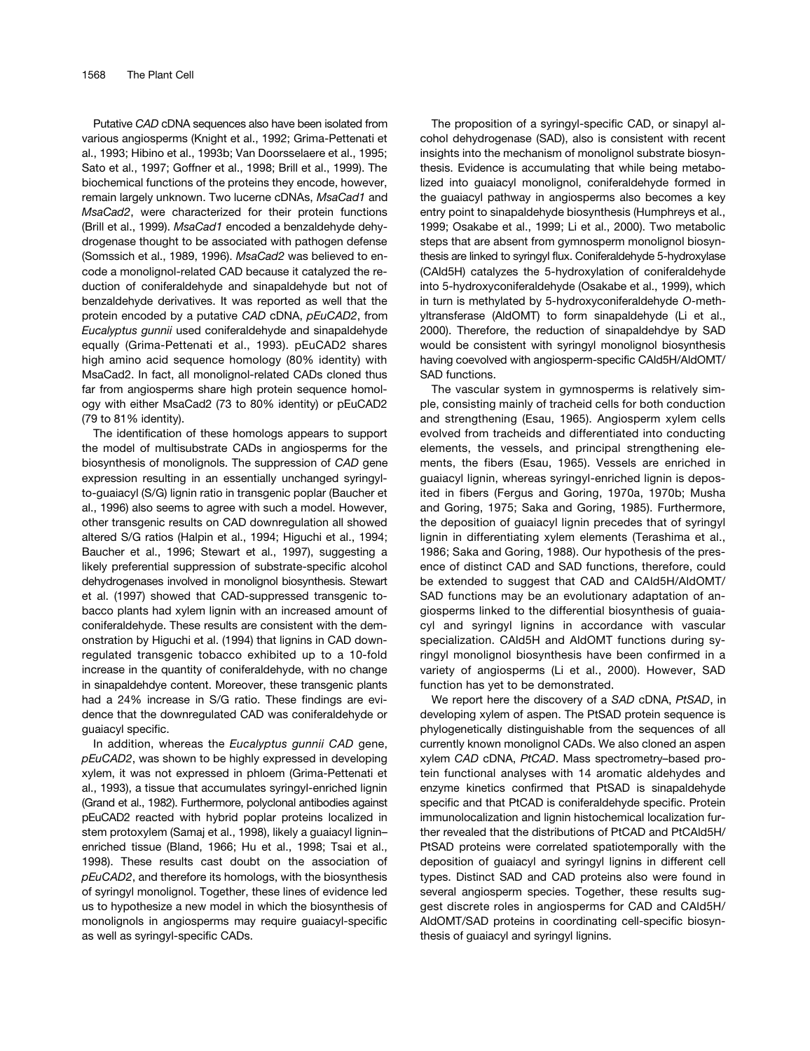Putative *CAD* cDNA sequences also have been isolated from various angiosperms (Knight et al., 1992; Grima-Pettenati et al., 1993; Hibino et al., 1993b; Van Doorsselaere et al., 1995; Sato et al., 1997; Goffner et al., 1998; Brill et al., 1999). The biochemical functions of the proteins they encode, however, remain largely unknown. Two lucerne cDNAs, *MsaCad1* and *MsaCad2*, were characterized for their protein functions (Brill et al., 1999). *MsaCad1* encoded a benzaldehyde dehydrogenase thought to be associated with pathogen defense (Somssich et al., 1989, 1996). *MsaCad2* was believed to encode a monolignol-related CAD because it catalyzed the reduction of coniferaldehyde and sinapaldehyde but not of benzaldehyde derivatives. It was reported as well that the protein encoded by a putative *CAD* cDNA, *pEuCAD2*, from *Eucalyptus gunnii* used coniferaldehyde and sinapaldehyde equally (Grima-Pettenati et al., 1993). pEuCAD2 shares high amino acid sequence homology (80% identity) with MsaCad2. In fact, all monolignol-related CADs cloned thus far from angiosperms share high protein sequence homology with either MsaCad2 (73 to 80% identity) or pEuCAD2 (79 to 81% identity).

The identification of these homologs appears to support the model of multisubstrate CADs in angiosperms for the biosynthesis of monolignols. The suppression of *CAD* gene expression resulting in an essentially unchanged syringylto-guaiacyl (S/G) lignin ratio in transgenic poplar (Baucher et al., 1996) also seems to agree with such a model. However, other transgenic results on CAD downregulation all showed altered S/G ratios (Halpin et al., 1994; Higuchi et al., 1994; Baucher et al., 1996; Stewart et al., 1997), suggesting a likely preferential suppression of substrate-specific alcohol dehydrogenases involved in monolignol biosynthesis. Stewart et al. (1997) showed that CAD-suppressed transgenic tobacco plants had xylem lignin with an increased amount of coniferaldehyde. These results are consistent with the demonstration by Higuchi et al. (1994) that lignins in CAD downregulated transgenic tobacco exhibited up to a 10-fold increase in the quantity of coniferaldehyde, with no change in sinapaldehdye content. Moreover, these transgenic plants had a 24% increase in S/G ratio. These findings are evidence that the downregulated CAD was coniferaldehyde or guaiacyl specific.

In addition, whereas the *Eucalyptus gunnii CAD* gene, *pEuCAD2*, was shown to be highly expressed in developing xylem, it was not expressed in phloem (Grima-Pettenati et al., 1993), a tissue that accumulates syringyl-enriched lignin (Grand et al., 1982). Furthermore, polyclonal antibodies against pEuCAD2 reacted with hybrid poplar proteins localized in stem protoxylem (Samaj et al., 1998), likely a guaiacyl lignin– enriched tissue (Bland, 1966; Hu et al., 1998; Tsai et al., 1998). These results cast doubt on the association of *pEuCAD2*, and therefore its homologs, with the biosynthesis of syringyl monolignol. Together, these lines of evidence led us to hypothesize a new model in which the biosynthesis of monolignols in angiosperms may require guaiacyl-specific as well as syringyl-specific CADs.

The proposition of a syringyl-specific CAD, or sinapyl alcohol dehydrogenase (SAD), also is consistent with recent insights into the mechanism of monolignol substrate biosynthesis. Evidence is accumulating that while being metabolized into guaiacyl monolignol, coniferaldehyde formed in the guaiacyl pathway in angiosperms also becomes a key entry point to sinapaldehyde biosynthesis (Humphreys et al., 1999; Osakabe et al., 1999; Li et al., 2000). Two metabolic steps that are absent from gymnosperm monolignol biosynthesis are linked to syringyl flux. Coniferaldehyde 5-hydroxylase (CAld5H) catalyzes the 5-hydroxylation of coniferaldehyde into 5-hydroxyconiferaldehyde (Osakabe et al., 1999), which in turn is methylated by 5-hydroxyconiferaldehyde *O*-methyltransferase (AldOMT) to form sinapaldehyde (Li et al., 2000). Therefore, the reduction of sinapaldehdye by SAD would be consistent with syringyl monolignol biosynthesis having coevolved with angiosperm-specific CAld5H/AldOMT/ SAD functions.

The vascular system in gymnosperms is relatively simple, consisting mainly of tracheid cells for both conduction and strengthening (Esau, 1965). Angiosperm xylem cells evolved from tracheids and differentiated into conducting elements, the vessels, and principal strengthening elements, the fibers (Esau, 1965). Vessels are enriched in guaiacyl lignin, whereas syringyl-enriched lignin is deposited in fibers (Fergus and Goring, 1970a, 1970b; Musha and Goring, 1975; Saka and Goring, 1985). Furthermore, the deposition of guaiacyl lignin precedes that of syringyl lignin in differentiating xylem elements (Terashima et al., 1986; Saka and Goring, 1988). Our hypothesis of the presence of distinct CAD and SAD functions, therefore, could be extended to suggest that CAD and CAld5H/AldOMT/ SAD functions may be an evolutionary adaptation of angiosperms linked to the differential biosynthesis of guaiacyl and syringyl lignins in accordance with vascular specialization. CAld5H and AldOMT functions during syringyl monolignol biosynthesis have been confirmed in a variety of angiosperms (Li et al., 2000). However, SAD function has yet to be demonstrated.

We report here the discovery of a *SAD* cDNA, *PtSAD*, in developing xylem of aspen. The PtSAD protein sequence is phylogenetically distinguishable from the sequences of all currently known monolignol CADs. We also cloned an aspen xylem *CAD* cDNA, *PtCAD*. Mass spectrometry–based protein functional analyses with 14 aromatic aldehydes and enzyme kinetics confirmed that PtSAD is sinapaldehyde specific and that PtCAD is coniferaldehyde specific. Protein immunolocalization and lignin histochemical localization further revealed that the distributions of PtCAD and PtCAld5H/ PtSAD proteins were correlated spatiotemporally with the deposition of guaiacyl and syringyl lignins in different cell types. Distinct SAD and CAD proteins also were found in several angiosperm species. Together, these results suggest discrete roles in angiosperms for CAD and CAld5H/ AldOMT/SAD proteins in coordinating cell-specific biosynthesis of guaiacyl and syringyl lignins.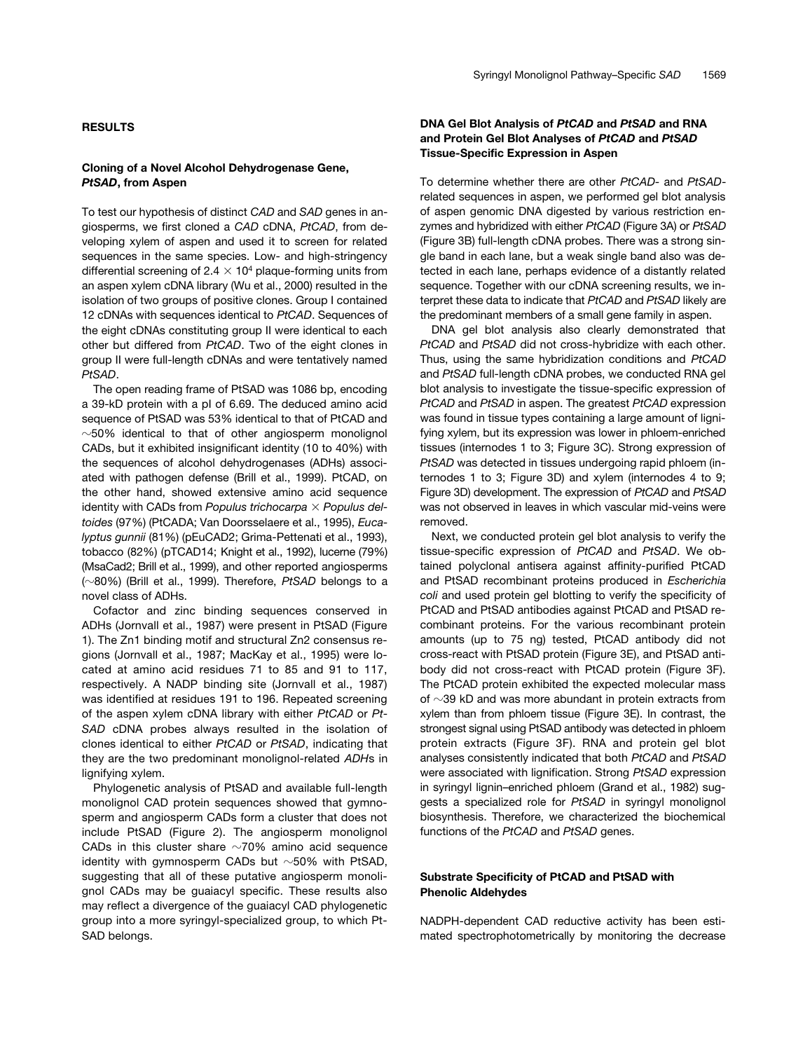### **RESULTS**

## **Cloning of a Novel Alcohol Dehydrogenase Gene,**  *PtSAD***, from Aspen**

To test our hypothesis of distinct *CAD* and *SAD* genes in angiosperms, we first cloned a *CAD* cDNA, *PtCAD*, from developing xylem of aspen and used it to screen for related sequences in the same species. Low- and high-stringency differential screening of  $2.4 \times 10^4$  plaque-forming units from an aspen xylem cDNA library (Wu et al., 2000) resulted in the isolation of two groups of positive clones. Group I contained 12 cDNAs with sequences identical to *PtCAD*. Sequences of the eight cDNAs constituting group II were identical to each other but differed from *PtCAD*. Two of the eight clones in group II were full-length cDNAs and were tentatively named *PtSAD*.

The open reading frame of PtSAD was 1086 bp, encoding a 39-kD protein with a pI of 6.69. The deduced amino acid sequence of PtSAD was 53% identical to that of PtCAD and  $\sim$ 50% identical to that of other angiosperm monolignol CADs, but it exhibited insignificant identity (10 to 40%) with the sequences of alcohol dehydrogenases (ADHs) associated with pathogen defense (Brill et al., 1999). PtCAD, on the other hand, showed extensive amino acid sequence identity with CADs from *Populus trichocarpa Populus deltoides* (97%) (PtCADA; Van Doorsselaere et al., 1995), *Eucalyptus gunnii* (81%) (pEuCAD2; Grima-Pettenati et al., 1993), tobacco (82%) (pTCAD14; Knight et al., 1992), lucerne (79%) (MsaCad2; Brill et al., 1999), and other reported angiosperms (-80%) (Brill et al., 1999). Therefore, *PtSAD* belongs to a novel class of ADHs.

Cofactor and zinc binding sequences conserved in ADHs (Jornvall et al., 1987) were present in PtSAD (Figure 1). The Zn1 binding motif and structural Zn2 consensus regions (Jornvall et al., 1987; MacKay et al., 1995) were located at amino acid residues 71 to 85 and 91 to 117, respectively. A NADP binding site (Jornvall et al., 1987) was identified at residues 191 to 196. Repeated screening of the aspen xylem cDNA library with either *PtCAD* or *Pt-SAD* cDNA probes always resulted in the isolation of clones identical to either *PtCAD* or *PtSAD*, indicating that they are the two predominant monolignol-related *ADH*s in lignifying xylem.

Phylogenetic analysis of PtSAD and available full-length monolignol CAD protein sequences showed that gymnosperm and angiosperm CADs form a cluster that does not include PtSAD (Figure 2). The angiosperm monolignol CADs in this cluster share  $\sim$ 70% amino acid sequence identity with gymnosperm CADs but  $\sim$ 50% with PtSAD, suggesting that all of these putative angiosperm monolignol CADs may be guaiacyl specific. These results also may reflect a divergence of the guaiacyl CAD phylogenetic group into a more syringyl-specialized group, to which Pt-SAD belongs.

## **DNA Gel Blot Analysis of** *PtCAD* **and** *PtSAD* **and RNA and Protein Gel Blot Analyses of** *PtCAD* **and** *PtSAD* **Tissue-Specific Expression in Aspen**

To determine whether there are other *PtCAD-* and *PtSAD*related sequences in aspen, we performed gel blot analysis of aspen genomic DNA digested by various restriction enzymes and hybridized with either *PtCAD* (Figure 3A) or *PtSAD* (Figure 3B) full-length cDNA probes. There was a strong single band in each lane, but a weak single band also was detected in each lane, perhaps evidence of a distantly related sequence. Together with our cDNA screening results, we interpret these data to indicate that *PtCAD* and *PtSAD* likely are the predominant members of a small gene family in aspen.

DNA gel blot analysis also clearly demonstrated that *PtCAD* and *PtSAD* did not cross-hybridize with each other. Thus, using the same hybridization conditions and *PtCAD* and *PtSAD* full-length cDNA probes, we conducted RNA gel blot analysis to investigate the tissue-specific expression of *PtCAD* and *PtSAD* in aspen. The greatest *PtCAD* expression was found in tissue types containing a large amount of lignifying xylem, but its expression was lower in phloem-enriched tissues (internodes 1 to 3; Figure 3C). Strong expression of *PtSAD* was detected in tissues undergoing rapid phloem (internodes 1 to 3; Figure 3D) and xylem (internodes 4 to 9; Figure 3D) development. The expression of *PtCAD* and *PtSAD* was not observed in leaves in which vascular mid-veins were removed.

Next, we conducted protein gel blot analysis to verify the tissue-specific expression of *PtCAD* and *PtSAD*. We obtained polyclonal antisera against affinity-purified PtCAD and PtSAD recombinant proteins produced in *Escherichia coli* and used protein gel blotting to verify the specificity of PtCAD and PtSAD antibodies against PtCAD and PtSAD recombinant proteins. For the various recombinant protein amounts (up to 75 ng) tested, PtCAD antibody did not cross-react with PtSAD protein (Figure 3E), and PtSAD antibody did not cross-react with PtCAD protein (Figure 3F). The PtCAD protein exhibited the expected molecular mass of  $\sim$ 39 kD and was more abundant in protein extracts from xylem than from phloem tissue (Figure 3E). In contrast, the strongest signal using PtSAD antibody was detected in phloem protein extracts (Figure 3F). RNA and protein gel blot analyses consistently indicated that both *PtCAD* and *PtSAD* were associated with lignification. Strong *PtSAD* expression in syringyl lignin–enriched phloem (Grand et al., 1982) suggests a specialized role for *PtSAD* in syringyl monolignol biosynthesis. Therefore, we characterized the biochemical functions of the *PtCAD* and *PtSAD* genes.

## **Substrate Specificity of PtCAD and PtSAD with Phenolic Aldehydes**

NADPH-dependent CAD reductive activity has been estimated spectrophotometrically by monitoring the decrease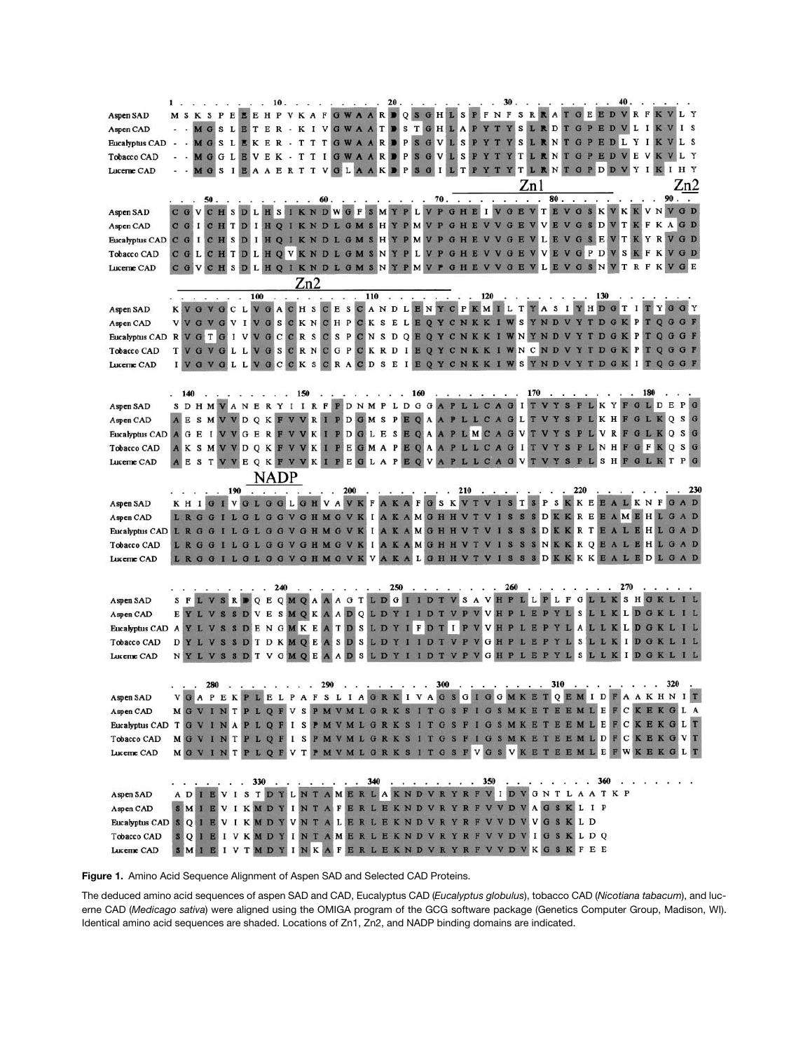|                                                                                                            |                  |             |                              |        |   |              |     |                       |          |     |                       |     | 20                                                                                                                                                                                                                                                                                                                                                                                                                                    |                         |                 |          |           |                               |                                                                                  |              |        |        |                      |     |                         | 40             |              |             |                                                                                             |       |
|------------------------------------------------------------------------------------------------------------|------------------|-------------|------------------------------|--------|---|--------------|-----|-----------------------|----------|-----|-----------------------|-----|---------------------------------------------------------------------------------------------------------------------------------------------------------------------------------------------------------------------------------------------------------------------------------------------------------------------------------------------------------------------------------------------------------------------------------------|-------------------------|-----------------|----------|-----------|-------------------------------|----------------------------------------------------------------------------------|--------------|--------|--------|----------------------|-----|-------------------------|----------------|--------------|-------------|---------------------------------------------------------------------------------------------|-------|
| Aspen SAD                                                                                                  | мs               |             | <b>KSPEEEHP</b>              |        |   |              |     | <b>VKAF</b>           |          |     |                       |     | <b>GWAARDQSGHLS</b>                                                                                                                                                                                                                                                                                                                                                                                                                   |                         |                 |          |           |                               | PFNF                                                                             |              |        |        | <b>SRRATGEEDVRF</b>  |     |                         |                |              | K V         |                                                                                             | L Y   |
| Aspen CAD                                                                                                  |                  | M G         | s                            |        |   | LETER        |     | - K                   | $\bf{I}$ |     |                       |     | <b>VGWAATDS</b>                                                                                                                                                                                                                                                                                                                                                                                                                       |                         | T               | GHL      |           | P<br>A                        | $\mathbf{Y}$                                                                     |              | s      |        | RDTGPED              |     |                         |                | L<br>1       |             |                                                                                             | I S   |
| <b>Eucalyptus CAD</b>                                                                                      |                  |             | - MGSLEKER - TTTGWAARD PSGVL |        |   |              |     |                       |          |     |                       |     |                                                                                                                                                                                                                                                                                                                                                                                                                                       |                         |                 |          |           |                               | SPYTYSLRNTGPEDLYIKV                                                              |              |        |        |                      |     |                         |                |              |             |                                                                                             | L S   |
| Tobacco CAD                                                                                                |                  | M G         |                              | GLE    | v | Е            | K - | T                     | T        |     |                       |     | I G W A A R P P S G V L                                                                                                                                                                                                                                                                                                                                                                                                               |                         |                 |          |           | s<br>P                        | Y<br>$\mathbf T$                                                                 |              |        |        | <b>YTLRNTGPEDV</b>   |     |                         |                |              | EVKV        |                                                                                             | L Y   |
| Lucerne CAD                                                                                                |                  |             | s                            |        |   | $\mathbf{A}$ | Е   | R T T                 |          |     |                       |     | VGLAAKD                                                                                                                                                                                                                                                                                                                                                                                                                               | $\mathbf{P}$            | <b>S</b><br>G   | $\bf{I}$ |           | T<br>P                        | Y                                                                                |              |        |        | <b>YTLRNTGPDD</b>    |     |                         | <b>V</b> Y     |              | IKI         |                                                                                             | H Y   |
|                                                                                                            |                  |             |                              |        |   |              |     |                       |          |     |                       |     |                                                                                                                                                                                                                                                                                                                                                                                                                                       |                         |                 |          |           |                               |                                                                                  |              | Zn1    |        |                      |     |                         |                |              |             |                                                                                             | Zn2   |
|                                                                                                            |                  |             | 50.                          |        |   |              |     |                       |          | 60. |                       |     | и.                                                                                                                                                                                                                                                                                                                                                                                                                                    |                         |                 | 70.      |           |                               |                                                                                  | $\cdot$      | $\sim$ | $\sim$ | $80.$ .              |     |                         |                |              |             | $90.$ .                                                                                     |       |
| Aspen SAD                                                                                                  | $C$ $G$          |             |                              |        |   |              |     |                       |          |     |                       |     |                                                                                                                                                                                                                                                                                                                                                                                                                                       |                         |                 |          |           |                               | CHSDLHSIKNDWGFSMYPLVPGHEIVGEV                                                    |              |        |        |                      |     |                         |                |              |             | <b>TEVGSKVKKVNVGD</b>                                                                       |       |
| Aspen CAD                                                                                                  |                  |             |                              |        |   |              |     |                       |          |     |                       |     |                                                                                                                                                                                                                                                                                                                                                                                                                                       |                         |                 |          |           |                               | C G I C H T D I H Q I K N D L G M S H Y P M V P G H E V V G                      |              | E      | v      | E<br>V               |     |                         |                |              |             | GSDVTKFKAGD                                                                                 |       |
|                                                                                                            |                  |             |                              |        |   |              |     |                       |          |     |                       |     |                                                                                                                                                                                                                                                                                                                                                                                                                                       |                         |                 |          |           |                               |                                                                                  |              |        |        |                      |     |                         |                |              |             | LEVGSEVTKYRVGD                                                                              |       |
| Eucalyptus CAD C G I C H S D I H Q I K N D L G M S H Y P M V P G H E V V G E V                             |                  |             |                              |        |   |              |     |                       |          |     |                       |     |                                                                                                                                                                                                                                                                                                                                                                                                                                       |                         |                 |          |           |                               |                                                                                  |              |        |        | $\mathbf{v}$         |     | GPDV                    |                | $\mathbf{K}$ | <b>FKV</b>  |                                                                                             |       |
| Tobacco CAD                                                                                                |                  |             | CGLCHTDLHOVKNDLGMSNYPLVPGH   |        |   |              |     |                       |          |     |                       |     |                                                                                                                                                                                                                                                                                                                                                                                                                                       |                         |                 |          |           |                               |                                                                                  | G            | E      | v      | <b>VE</b>            |     |                         | l s            |              |             |                                                                                             | G D   |
| Lucerne CAD                                                                                                | $C$ $G$ $V$      |             |                              | s      |   |              |     |                       |          |     |                       |     |                                                                                                                                                                                                                                                                                                                                                                                                                                       |                         |                 |          |           |                               | DLHQIKNDLGMSNYPMVPGHEVVGE                                                        |              |        |        | LEVGSN               |     |                         | V <sub>T</sub> |              | <b>RFKV</b> |                                                                                             | G E   |
|                                                                                                            |                  |             |                              |        |   |              |     |                       | Zn2      |     |                       |     |                                                                                                                                                                                                                                                                                                                                                                                                                                       |                         |                 |          |           |                               |                                                                                  |              |        |        |                      |     |                         |                |              |             |                                                                                             |       |
|                                                                                                            |                  |             |                              | $\sim$ |   | 100          |     | $\sim$                |          |     |                       | 110 |                                                                                                                                                                                                                                                                                                                                                                                                                                       | $\cdot$ $\cdot$ $\cdot$ |                 |          | $\cdot$   |                               | . 120                                                                            | $\ddots$     |        |        |                      |     | . 130                   |                |              |             |                                                                                             |       |
| Aspen SAD                                                                                                  |                  |             |                              |        |   |              |     |                       |          |     |                       |     |                                                                                                                                                                                                                                                                                                                                                                                                                                       |                         |                 |          |           |                               |                                                                                  |              |        |        |                      |     |                         |                |              |             | KVGVGCLVGACHSCESCANDLENYCPKMILTYASIYHDGTITYGGY                                              |       |
| Aspen CAD                                                                                                  |                  |             |                              |        |   |              |     |                       |          |     |                       |     |                                                                                                                                                                                                                                                                                                                                                                                                                                       |                         |                 |          |           |                               | VVGVGVIVGSCKNCHPCKSELEQYCNKKIWSYNDVYTDGKPT                                       |              |        |        |                      |     |                         |                |              |             |                                                                                             |       |
| Eucalyptus CAD                                                                                             |                  |             |                              |        |   |              |     |                       |          |     |                       |     |                                                                                                                                                                                                                                                                                                                                                                                                                                       |                         |                 |          |           |                               |                                                                                  |              |        |        |                      |     |                         |                |              |             | RVGTGIVVGCCRSCSPCNSDQEQYCNKKIWNYNDVYTDGKPTQGGF                                              |       |
| Tobacco CAD                                                                                                | T                |             |                              |        |   |              |     |                       |          |     |                       |     |                                                                                                                                                                                                                                                                                                                                                                                                                                       |                         |                 |          |           |                               | VGLLVGSCRNCGPCKRDIEQYCNKKIWNCN                                                   |              |        |        | D V                  |     |                         | DGKPT          |              |             |                                                                                             | G F   |
| Lucerne CAD                                                                                                |                  |             | GVGLLVGC                     |        |   |              |     |                       |          |     |                       |     |                                                                                                                                                                                                                                                                                                                                                                                                                                       |                         |                 |          |           |                               | CKSCRACDSEIEQYCNKKIWSYNDV                                                        |              |        |        |                      |     | YTDGKI                  |                |              |             | OGGF                                                                                        |       |
|                                                                                                            |                  |             |                              |        |   |              |     |                       |          |     |                       |     |                                                                                                                                                                                                                                                                                                                                                                                                                                       |                         |                 |          |           |                               |                                                                                  |              |        |        |                      |     |                         |                |              |             |                                                                                             |       |
|                                                                                                            | 140              |             |                              |        |   |              |     | $\ddots$ $\ddots$ 150 |          |     |                       |     |                                                                                                                                                                                                                                                                                                                                                                                                                                       |                         | 160             |          | $\cdots$  |                               | $\cdot$ $\cdot$ $\cdot$ 170                                                      |              |        |        | $\ddot{\phantom{1}}$ |     |                         |                |              | 180         |                                                                                             |       |
| Aspen SAD                                                                                                  |                  |             |                              |        |   |              |     |                       |          |     |                       |     |                                                                                                                                                                                                                                                                                                                                                                                                                                       |                         |                 |          |           |                               |                                                                                  |              |        |        |                      |     |                         |                |              |             | SDHMVANERYIIRFPDNMPLDGGAPLLCAGITVYSPLKYFGLDEPG                                              |       |
| Aspen CAD                                                                                                  |                  |             |                              |        |   |              |     |                       |          |     |                       |     |                                                                                                                                                                                                                                                                                                                                                                                                                                       |                         |                 |          |           |                               |                                                                                  |              |        |        |                      |     |                         |                |              |             | A E S M V V D Q K F V V R I P D G M S P E Q A A P L L C A G L T V Y S P L K H F G L K Q S G |       |
| Eucalyptus CAD                                                                                             |                  |             |                              |        |   |              |     |                       |          |     |                       |     |                                                                                                                                                                                                                                                                                                                                                                                                                                       |                         |                 |          |           |                               |                                                                                  |              |        |        |                      |     |                         |                |              |             | AGEIVVGERFVVKIPDGLESEQAAPLMCAGVTVYSPLVRFGLKQSG                                              |       |
| Tobacco CAD                                                                                                | <b>AKSMVVDQK</b> |             |                              |        |   |              |     |                       |          |     |                       |     |                                                                                                                                                                                                                                                                                                                                                                                                                                       |                         |                 |          |           |                               | FVVKIPEGMAPEQAAPLLCAGI                                                           |              |        |        | S                    |     | LNHF                    |                | GF           |             | $\mathsf{o}$                                                                                | S G   |
|                                                                                                            |                  |             |                              |        |   |              |     |                       |          |     |                       |     |                                                                                                                                                                                                                                                                                                                                                                                                                                       |                         |                 |          |           |                               |                                                                                  |              |        |        |                      | SPL |                         |                |              | SHFGLK      | T                                                                                           | P G   |
| Lucerne CAD                                                                                                |                  | s           |                              |        |   |              |     |                       |          |     |                       |     |                                                                                                                                                                                                                                                                                                                                                                                                                                       |                         |                 |          |           |                               | TVVEQKFVVKIPEGLAPEQVAPLLCAG                                                      |              |        |        |                      |     |                         |                |              |             |                                                                                             |       |
|                                                                                                            |                  |             |                              |        |   |              |     |                       |          |     |                       |     |                                                                                                                                                                                                                                                                                                                                                                                                                                       |                         |                 |          |           |                               |                                                                                  |              |        |        |                      |     |                         |                |              |             |                                                                                             |       |
|                                                                                                            |                  |             |                              |        |   | <b>NADP</b>  |     |                       |          |     |                       |     |                                                                                                                                                                                                                                                                                                                                                                                                                                       |                         |                 |          |           |                               |                                                                                  |              |        |        |                      |     |                         |                |              |             |                                                                                             |       |
|                                                                                                            |                  |             |                              | 190    |   |              |     |                       |          |     | $\cdot$ 200           |     | $\begin{array}{cccccccccccccc} \mathbf{1} & \mathbf{1} & \mathbf{1} & \mathbf{1} & \mathbf{1} & \mathbf{1} & \mathbf{1} & \mathbf{1} & \mathbf{1} & \mathbf{1} & \mathbf{1} & \mathbf{1} & \mathbf{1} & \mathbf{1} & \mathbf{1} & \mathbf{1} & \mathbf{1} & \mathbf{1} & \mathbf{1} & \mathbf{1} & \mathbf{1} & \mathbf{1} & \mathbf{1} & \mathbf{1} & \mathbf{1} & \mathbf{1} & \mathbf{1} & \mathbf{1} & \mathbf{1} & \mathbf{1} &$ |                         |                 |          |           | 210                           | - 2                                                                              | $\cdot$      |        |        |                      | 220 |                         |                |              |             |                                                                                             |       |
| Aspen SAD                                                                                                  |                  | KHIG        |                              |        |   |              |     |                       |          |     |                       |     |                                                                                                                                                                                                                                                                                                                                                                                                                                       |                         |                 |          |           |                               |                                                                                  |              |        |        |                      |     |                         |                |              |             | I V G L G G L G H V A V K F A K A F G S K V T V I S T S P S K K E E A L K N F G A D         | . 230 |
| Aspen CAD                                                                                                  |                  |             | L R G G I                    |        |   |              |     |                       |          |     |                       |     |                                                                                                                                                                                                                                                                                                                                                                                                                                       |                         |                 |          |           |                               |                                                                                  |              |        |        |                      |     |                         |                |              |             | L G L G G V G H M G V K I A K A M G H H V T V I S S S D K K R E E A M E H L G A D           |       |
| Eucalyptus CAD                                                                                             |                  |             |                              |        |   |              |     |                       |          |     | <b>GLGGVGHMGVK</b>    | 1   |                                                                                                                                                                                                                                                                                                                                                                                                                                       |                         | <b>AKAMGHHV</b> |          |           |                               | T V                                                                              | <sub>S</sub> |        |        |                      |     |                         |                |              |             | SSDKKRTEALEHLGAD                                                                            |       |
| Tobacco CAD                                                                                                |                  |             |                              |        |   |              |     | <b>GLGGVGHMG</b>      |          |     | <b>VK</b>             | 1   |                                                                                                                                                                                                                                                                                                                                                                                                                                       |                         | AKAMGH          |          |           |                               |                                                                                  |              |        | SNK    |                      |     |                         |                |              |             | <b>KROEALEHLGAD</b>                                                                         |       |
| Lucerne CAD                                                                                                |                  | <b>LRGG</b> |                              |        |   |              |     |                       |          |     |                       |     | L G L G G V G H M G V K V A K A L G H H                                                                                                                                                                                                                                                                                                                                                                                               |                         |                 |          |           |                               |                                                                                  | S            |        | SD     |                      |     |                         |                |              |             | KKKKEALEDLGAD                                                                               |       |
|                                                                                                            |                  |             |                              |        |   |              |     |                       |          |     |                       |     |                                                                                                                                                                                                                                                                                                                                                                                                                                       |                         |                 |          |           |                               |                                                                                  |              |        |        |                      |     |                         |                |              |             |                                                                                             |       |
|                                                                                                            |                  |             |                              |        |   |              | 240 |                       |          |     |                       |     | . 250                                                                                                                                                                                                                                                                                                                                                                                                                                 |                         | $\sim$ $\sim$   |          |           | $\mathbb{Z}$ and $\mathbb{Z}$ |                                                                                  | 260          |        |        |                      |     |                         | 270            |              |             |                                                                                             |       |
| Aspen SAD                                                                                                  |                  |             |                              |        |   |              |     |                       |          |     |                       |     |                                                                                                                                                                                                                                                                                                                                                                                                                                       |                         |                 |          |           |                               | SRPQEQMQAAAGTLDGIIDTVSAVHPLLPLFGLLKSHGK                                          |              |        |        |                      |     |                         |                |              |             |                                                                                             |       |
| Aspen CAD                                                                                                  |                  |             |                              |        |   |              |     |                       |          |     |                       |     |                                                                                                                                                                                                                                                                                                                                                                                                                                       |                         |                 |          |           |                               | EYL VSSDVESMQKAADQLDYIIDTVPVVHPLEPYL SLLKLDGKL                                   |              |        |        |                      |     |                         |                |              |             |                                                                                             |       |
| Eucalyptus CAD                                                                                             |                  |             |                              |        |   |              |     |                       |          |     |                       |     |                                                                                                                                                                                                                                                                                                                                                                                                                                       |                         |                 |          |           |                               | AYLVSSDENGMKEATDSLDYIFDTIPVVHP                                                   |              |        |        |                      |     |                         |                |              |             | LEPYLALLKLDGKLIL                                                                            |       |
| <b>Tobacco CAD</b>                                                                                         |                  |             | DYLVS                        |        |   |              |     |                       |          |     | <b>SDTDKMOEASDSLD</b> |     |                                                                                                                                                                                                                                                                                                                                                                                                                                       |                         |                 | IDT      |           | <b>VPV</b>                    |                                                                                  | G H P        |        | L E P  |                      |     |                         |                |              | YLSLLKIDGKL |                                                                                             |       |
| Lucerne CAD                                                                                                |                  |             | <b>NYLVSSDTVGMOE</b>         |        |   |              |     |                       |          |     | <b>AADSLD</b>         |     |                                                                                                                                                                                                                                                                                                                                                                                                                                       |                         |                 | D T      | <b>VP</b> | M                             |                                                                                  |              |        | GHPLEP | YL                   |     | SLLKI                   |                |              |             | DGKLIL                                                                                      |       |
|                                                                                                            |                  |             |                              |        |   |              |     |                       |          |     |                       |     |                                                                                                                                                                                                                                                                                                                                                                                                                                       |                         |                 |          |           |                               |                                                                                  |              |        |        |                      |     |                         |                |              |             |                                                                                             |       |
|                                                                                                            |                  |             |                              |        |   |              |     |                       |          |     |                       |     |                                                                                                                                                                                                                                                                                                                                                                                                                                       |                         |                 |          |           |                               |                                                                                  |              |        |        |                      |     |                         |                |              |             |                                                                                             |       |
|                                                                                                            |                  |             | 280                          |        |   |              |     |                       |          | 290 |                       |     |                                                                                                                                                                                                                                                                                                                                                                                                                                       |                         |                 | 300      |           |                               |                                                                                  |              |        | E      | 310                  |     |                         |                |              |             | 320                                                                                         | $I$ T |
| Aspen SAD                                                                                                  |                  |             | Е                            |        |   | Е            |     |                       |          |     |                       |     | PAFSLIAGRKIVAGSGI                                                                                                                                                                                                                                                                                                                                                                                                                     |                         |                 |          |           |                               |                                                                                  | <b>GGMK</b>  |        |        | TQEMIDFAAKHN         |     |                         |                |              |             |                                                                                             |       |
| Aspen CAD                                                                                                  |                  |             |                              |        |   |              |     |                       |          |     |                       |     |                                                                                                                                                                                                                                                                                                                                                                                                                                       |                         |                 |          |           |                               | M G V I N T P L Q F V S P M V M L G R K S I T G S F I G S M K E T E E M L E F C  |              |        |        |                      |     |                         |                |              |             | KEKGLA                                                                                      |       |
| Eucalyptus CAD T G V I N A P L Q F I S P M V M L G R K S I T G S F I G S M K E T E E M L E F C K E K G L T |                  |             |                              |        |   |              |     |                       |          |     |                       |     |                                                                                                                                                                                                                                                                                                                                                                                                                                       |                         |                 |          |           |                               |                                                                                  |              |        |        |                      |     |                         |                |              |             |                                                                                             |       |
| Tobacco CAD                                                                                                |                  |             |                              |        |   |              |     |                       |          |     |                       |     |                                                                                                                                                                                                                                                                                                                                                                                                                                       |                         |                 |          |           |                               |                                                                                  |              |        |        |                      |     |                         |                |              |             | MGVINTPLQFISPMVMLGRKSITGSFIGSMKETEEMLDFCKEKGVT                                              |       |
| Lucerne CAD                                                                                                |                  |             |                              |        |   |              |     |                       |          |     |                       |     |                                                                                                                                                                                                                                                                                                                                                                                                                                       |                         |                 |          |           |                               |                                                                                  |              |        |        |                      |     |                         |                |              |             | MGVINTPLQFVTPMVMLGRKSITGSFVGSVKETEEMLEFWKEKGLT                                              |       |
|                                                                                                            |                  |             |                              |        |   |              |     |                       |          |     |                       |     |                                                                                                                                                                                                                                                                                                                                                                                                                                       |                         |                 |          |           |                               |                                                                                  |              |        |        |                      |     |                         |                |              |             |                                                                                             |       |
|                                                                                                            |                  |             |                              |        |   |              |     |                       |          |     |                       |     |                                                                                                                                                                                                                                                                                                                                                                                                                                       |                         |                 |          |           |                               | 330 340 350                                                                      |              |        |        |                      |     | $\cdot \cdot \cdot 360$ |                |              |             |                                                                                             |       |
| Aspen SAD                                                                                                  |                  |             |                              |        |   |              |     |                       |          |     |                       |     |                                                                                                                                                                                                                                                                                                                                                                                                                                       |                         |                 |          |           |                               | A D I E V I S T D Y L N T A M E R L A K N D V R Y R F V I D V G N T L A A T K P  |              |        |        |                      |     |                         |                |              |             |                                                                                             |       |
| Aspen CAD                                                                                                  |                  |             |                              |        |   |              |     |                       |          |     |                       |     |                                                                                                                                                                                                                                                                                                                                                                                                                                       |                         |                 |          |           |                               | SMIEVIKMDYINTAFERLEKNDVRYRFVVDVAGSKLIP                                           |              |        |        |                      |     |                         |                |              |             |                                                                                             |       |
| Eucalyptus CAD S Q I E V I K M D Y V N T A L E R L E K N D V R Y R F V V D V V G S K L D                   |                  |             |                              |        |   |              |     |                       |          |     |                       |     |                                                                                                                                                                                                                                                                                                                                                                                                                                       |                         |                 |          |           |                               |                                                                                  |              |        |        |                      |     |                         |                |              |             |                                                                                             |       |
| Tobacco CAD                                                                                                |                  |             |                              |        |   |              |     |                       |          |     |                       |     |                                                                                                                                                                                                                                                                                                                                                                                                                                       |                         |                 |          |           |                               | SQIEIVKMDYINTAMERLEKNDVRYRFVVDVIGSKLDQ<br>SMIEIVTMDYINKAFERLEKNDVRYRFVVDVKGSKFEE |              |        |        |                      |     |                         |                |              |             |                                                                                             |       |

**Figure 1.** Amino Acid Sequence Alignment of Aspen SAD and Selected CAD Proteins.

The deduced amino acid sequences of aspen SAD and CAD, Eucalyptus CAD (*Eucalyptus globulus*), tobacco CAD (*Nicotiana tabacum*), and lucerne CAD (*Medicago sativa*) were aligned using the OMIGA program of the GCG software package (Genetics Computer Group, Madison, WI). Identical amino acid sequences are shaded. Locations of Zn1, Zn2, and NADP binding domains are indicated.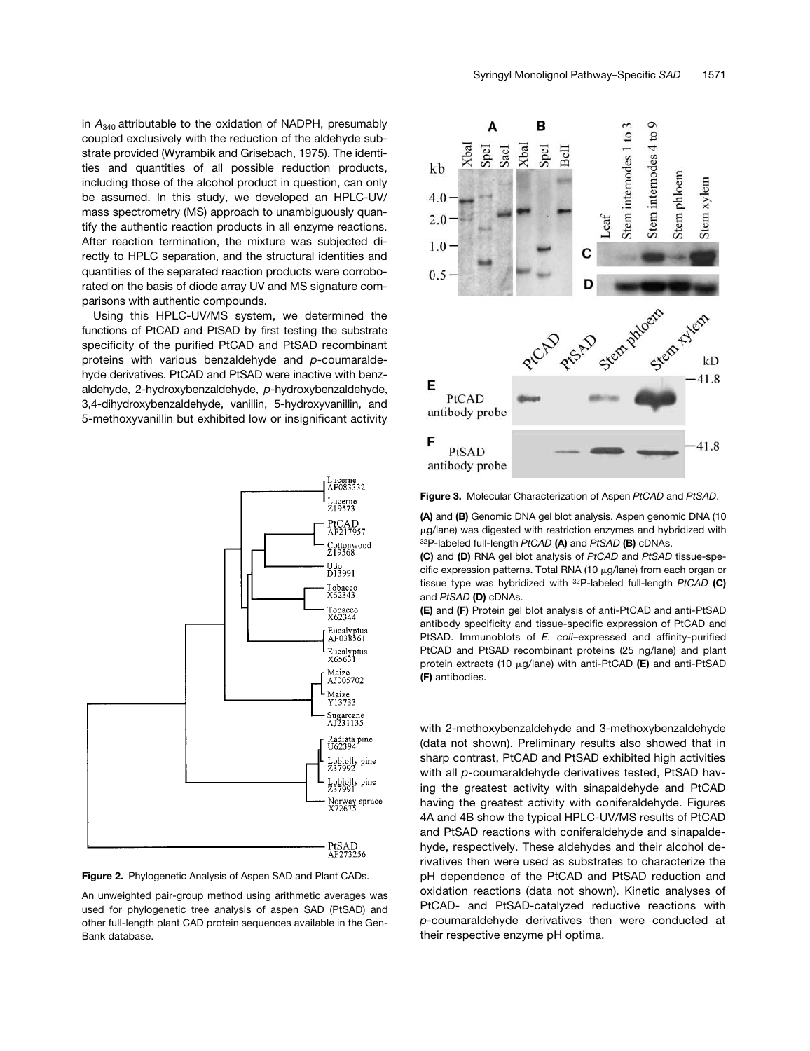in *A*340 attributable to the oxidation of NADPH, presumably coupled exclusively with the reduction of the aldehyde substrate provided (Wyrambik and Grisebach, 1975). The identities and quantities of all possible reduction products, including those of the alcohol product in question, can only be assumed. In this study, we developed an HPLC-UV/ mass spectrometry (MS) approach to unambiguously quantify the authentic reaction products in all enzyme reactions. After reaction termination, the mixture was subjected directly to HPLC separation, and the structural identities and quantities of the separated reaction products were corroborated on the basis of diode array UV and MS signature comparisons with authentic compounds.

Using this HPLC-UV/MS system, we determined the functions of PtCAD and PtSAD by first testing the substrate specificity of the purified PtCAD and PtSAD recombinant proteins with various benzaldehyde and *p*-coumaraldehyde derivatives. PtCAD and PtSAD were inactive with benzaldehyde, 2-hydroxybenzaldehyde, *p*-hydroxybenzaldehyde, 3,4-dihydroxybenzaldehyde, vanillin, 5-hydroxyvanillin, and 5-methoxyvanillin but exhibited low or insignificant activity





An unweighted pair-group method using arithmetic averages was used for phylogenetic tree analysis of aspen SAD (PtSAD) and other full-length plant CAD protein sequences available in the Gen-Bank database.



**Figure 3.** Molecular Characterization of Aspen *PtCAD* and *PtSAD*.

**(A)** and **(B)** Genomic DNA gel blot analysis. Aspen genomic DNA (10 g/lane) was digested with restriction enzymes and hybridized with 32P-labeled full-length *PtCAD* **(A)** and *PtSAD* **(B)** cDNAs.

**(C)** and **(D)** RNA gel blot analysis of *PtCAD* and *PtSAD* tissue-specific expression patterns. Total RNA (10  $\mu$ g/lane) from each organ or tissue type was hybridized with 32P-labeled full-length *PtCAD* **(C)** and *PtSAD* **(D)** cDNAs.

**(E)** and **(F)** Protein gel blot analysis of anti-PtCAD and anti-PtSAD antibody specificity and tissue-specific expression of PtCAD and PtSAD. Immunoblots of *E. coli*–expressed and affinity-purified PtCAD and PtSAD recombinant proteins (25 ng/lane) and plant protein extracts (10 µg/lane) with anti-PtCAD (E) and anti-PtSAD **(F)** antibodies.

with 2-methoxybenzaldehyde and 3-methoxybenzaldehyde (data not shown). Preliminary results also showed that in sharp contrast, PtCAD and PtSAD exhibited high activities with all *p*-coumaraldehyde derivatives tested, PtSAD having the greatest activity with sinapaldehyde and PtCAD having the greatest activity with coniferaldehyde. Figures 4A and 4B show the typical HPLC-UV/MS results of PtCAD and PtSAD reactions with coniferaldehyde and sinapaldehyde, respectively. These aldehydes and their alcohol derivatives then were used as substrates to characterize the pH dependence of the PtCAD and PtSAD reduction and oxidation reactions (data not shown). Kinetic analyses of PtCAD- and PtSAD-catalyzed reductive reactions with *p*-coumaraldehyde derivatives then were conducted at their respective enzyme pH optima.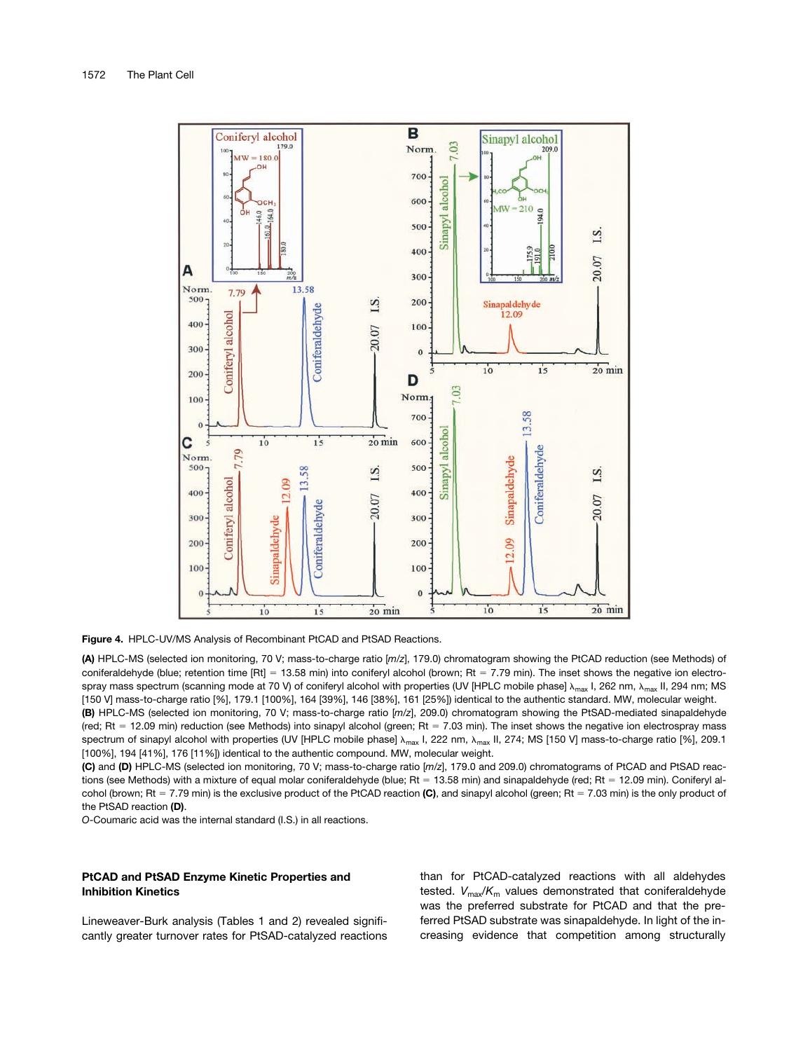

**Figure 4.** HPLC-UV/MS Analysis of Recombinant PtCAD and PtSAD Reactions.

**(A)** HPLC-MS (selected ion monitoring, 70 V; mass-to-charge ratio [*m/z*], 179.0) chromatogram showing the PtCAD reduction (see Methods) of coniferaldehyde (blue; retention time [Rt] = 13.58 min) into coniferyl alcohol (brown; Rt = 7.79 min). The inset shows the negative ion electrospray mass spectrum (scanning mode at 70 V) of coniferyl alcohol with properties (UV [HPLC mobile phase]  $\lambda_{\text{max}}$  I, 262 nm,  $\lambda_{\text{max}}$  II, 294 nm; MS [150 V] mass-to-charge ratio [%], 179.1 [100%], 164 [39%], 146 [38%], 161 [25%]) identical to the authentic standard. MW, molecular weight. **(B)** HPLC-MS (selected ion monitoring, 70 V; mass-to-charge ratio [*m/z*], 209.0) chromatogram showing the PtSAD-mediated sinapaldehyde (red; Rt = 12.09 min) reduction (see Methods) into sinapyl alcohol (green; Rt = 7.03 min). The inset shows the negative ion electrospray mass spectrum of sinapyl alcohol with properties (UV [HPLC mobile phase]  $\lambda_{\text{max}}$  I, 222 nm,  $\lambda_{\text{max}}$  II, 274; MS [150 V] mass-to-charge ratio [%], 209.1 [100%], 194 [41%], 176 [11%]) identical to the authentic compound. MW, molecular weight.

**(C)** and **(D)** HPLC-MS (selected ion monitoring, 70 V; mass-to-charge ratio [*m/z*], 179.0 and 209.0) chromatograms of PtCAD and PtSAD reactions (see Methods) with a mixture of equal molar coniferaldehyde (blue; Rt = 13.58 min) and sinapaldehyde (red; Rt = 12.09 min). Coniferyl alcohol (brown; Rt = 7.79 min) is the exclusive product of the PtCAD reaction (C), and sinapyl alcohol (green; Rt = 7.03 min) is the only product of the PtSAD reaction **(D)**.

*O*-Coumaric acid was the internal standard (I.S.) in all reactions.

## **PtCAD and PtSAD Enzyme Kinetic Properties and Inhibition Kinetics**

Lineweaver-Burk analysis (Tables 1 and 2) revealed significantly greater turnover rates for PtSAD-catalyzed reactions than for PtCAD-catalyzed reactions with all aldehydes tested.  $V_{\text{max}}/K_{\text{m}}$  values demonstrated that coniferaldehyde was the preferred substrate for PtCAD and that the preferred PtSAD substrate was sinapaldehyde. In light of the increasing evidence that competition among structurally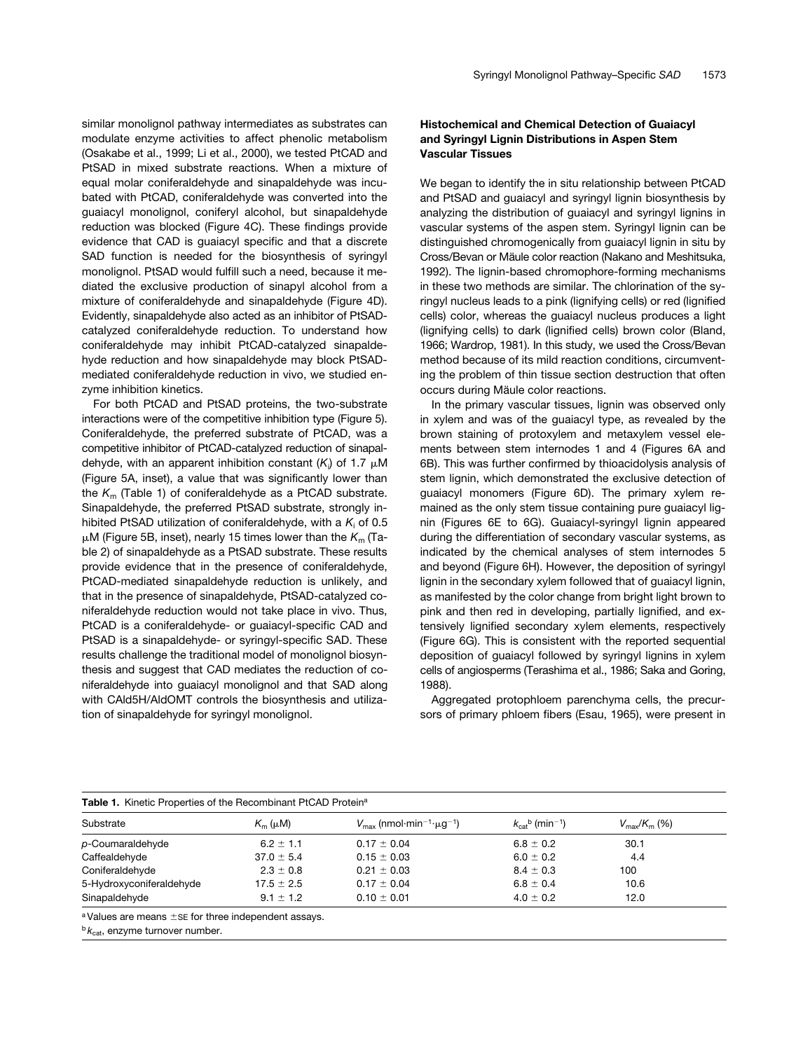similar monolignol pathway intermediates as substrates can modulate enzyme activities to affect phenolic metabolism (Osakabe et al., 1999; Li et al., 2000), we tested PtCAD and PtSAD in mixed substrate reactions. When a mixture of equal molar coniferaldehyde and sinapaldehyde was incubated with PtCAD, coniferaldehyde was converted into the guaiacyl monolignol, coniferyl alcohol, but sinapaldehyde reduction was blocked (Figure 4C). These findings provide evidence that CAD is guaiacyl specific and that a discrete SAD function is needed for the biosynthesis of syringyl monolignol. PtSAD would fulfill such a need, because it mediated the exclusive production of sinapyl alcohol from a mixture of coniferaldehyde and sinapaldehyde (Figure 4D). Evidently, sinapaldehyde also acted as an inhibitor of PtSADcatalyzed coniferaldehyde reduction. To understand how coniferaldehyde may inhibit PtCAD-catalyzed sinapaldehyde reduction and how sinapaldehyde may block PtSADmediated coniferaldehyde reduction in vivo, we studied enzyme inhibition kinetics.

For both PtCAD and PtSAD proteins, the two-substrate interactions were of the competitive inhibition type (Figure 5). Coniferaldehyde, the preferred substrate of PtCAD, was a competitive inhibitor of PtCAD-catalyzed reduction of sinapaldehyde, with an apparent inhibition constant (K<sub>i</sub>) of 1.7 μM (Figure 5A, inset), a value that was significantly lower than the *K*m (Table 1) of coniferaldehyde as a PtCAD substrate. Sinapaldehyde, the preferred PtSAD substrate, strongly inhibited PtSAD utilization of coniferaldehyde, with a  $K_i$  of 0.5  $\mu$ M (Figure 5B, inset), nearly 15 times lower than the  $K<sub>m</sub>$  (Table 2) of sinapaldehyde as a PtSAD substrate. These results provide evidence that in the presence of coniferaldehyde, PtCAD-mediated sinapaldehyde reduction is unlikely, and that in the presence of sinapaldehyde, PtSAD-catalyzed coniferaldehyde reduction would not take place in vivo. Thus, PtCAD is a coniferaldehyde- or guaiacyl-specific CAD and PtSAD is a sinapaldehyde- or syringyl-specific SAD. These results challenge the traditional model of monolignol biosynthesis and suggest that CAD mediates the reduction of coniferaldehyde into guaiacyl monolignol and that SAD along with CAld5H/AldOMT controls the biosynthesis and utilization of sinapaldehyde for syringyl monolignol.

## **Histochemical and Chemical Detection of Guaiacyl and Syringyl Lignin Distributions in Aspen Stem Vascular Tissues**

We began to identify the in situ relationship between PtCAD and PtSAD and guaiacyl and syringyl lignin biosynthesis by analyzing the distribution of guaiacyl and syringyl lignins in vascular systems of the aspen stem. Syringyl lignin can be distinguished chromogenically from guaiacyl lignin in situ by Cross/Bevan or Mäule color reaction (Nakano and Meshitsuka, 1992). The lignin-based chromophore-forming mechanisms in these two methods are similar. The chlorination of the syringyl nucleus leads to a pink (lignifying cells) or red (lignified cells) color, whereas the guaiacyl nucleus produces a light (lignifying cells) to dark (lignified cells) brown color (Bland, 1966; Wardrop, 1981). In this study, we used the Cross/Bevan method because of its mild reaction conditions, circumventing the problem of thin tissue section destruction that often occurs during Mäule color reactions.

In the primary vascular tissues, lignin was observed only in xylem and was of the guaiacyl type, as revealed by the brown staining of protoxylem and metaxylem vessel elements between stem internodes 1 and 4 (Figures 6A and 6B). This was further confirmed by thioacidolysis analysis of stem lignin, which demonstrated the exclusive detection of guaiacyl monomers (Figure 6D). The primary xylem remained as the only stem tissue containing pure guaiacyl lignin (Figures 6E to 6G). Guaiacyl-syringyl lignin appeared during the differentiation of secondary vascular systems, as indicated by the chemical analyses of stem internodes 5 and beyond (Figure 6H). However, the deposition of syringyl lignin in the secondary xylem followed that of guaiacyl lignin, as manifested by the color change from bright light brown to pink and then red in developing, partially lignified, and extensively lignified secondary xylem elements, respectively (Figure 6G). This is consistent with the reported sequential deposition of guaiacyl followed by syringyl lignins in xylem cells of angiosperms (Terashima et al., 1986; Saka and Goring, 1988).

Aggregated protophloem parenchyma cells, the precursors of primary phloem fibers (Esau, 1965), were present in

| Table 1. Kinetic Properties of the Recombinant PtCAD Protein <sup>a</sup> |                |                                                                    |                                           |                             |  |  |  |
|---------------------------------------------------------------------------|----------------|--------------------------------------------------------------------|-------------------------------------------|-----------------------------|--|--|--|
| Substrate                                                                 | $K_{m}(\mu M)$ | $V_{\text{max}}$ (nmol·min <sup>-1</sup> · $\mu$ g <sup>-1</sup> ) | $k_{\text{cat}}^{b}$ (min <sup>-1</sup> ) | $V_{\rm max}/K_{\rm m}$ (%) |  |  |  |
| p-Coumaraldehyde                                                          | $6.2 \pm 1.1$  | $0.17 \pm 0.04$                                                    | $6.8 \pm 0.2$                             | 30.1                        |  |  |  |
| Caffealdehyde                                                             | $37.0 \pm 5.4$ | $0.15 \pm 0.03$                                                    | $6.0 \pm 0.2$                             | 4.4                         |  |  |  |
| Coniferaldehyde                                                           | $2.3 \pm 0.8$  | $0.21 \pm 0.03$                                                    | $8.4 \pm 0.3$                             | 100                         |  |  |  |
| 5-Hydroxyconiferaldehyde                                                  | $17.5 \pm 2.5$ | $0.17 \pm 0.04$                                                    | $6.8 \pm 0.4$                             | 10.6                        |  |  |  |
| Sinapaldehyde                                                             | $9.1 \pm 1.2$  | $0.10 \pm 0.01$                                                    | $4.0 \pm 0.2$                             | 12.0                        |  |  |  |

 $a$  Values are means  $\pm$  SE for three independent assays.

<sup>b</sup>  $k_{\text{cat}}$ , enzyme turnover number.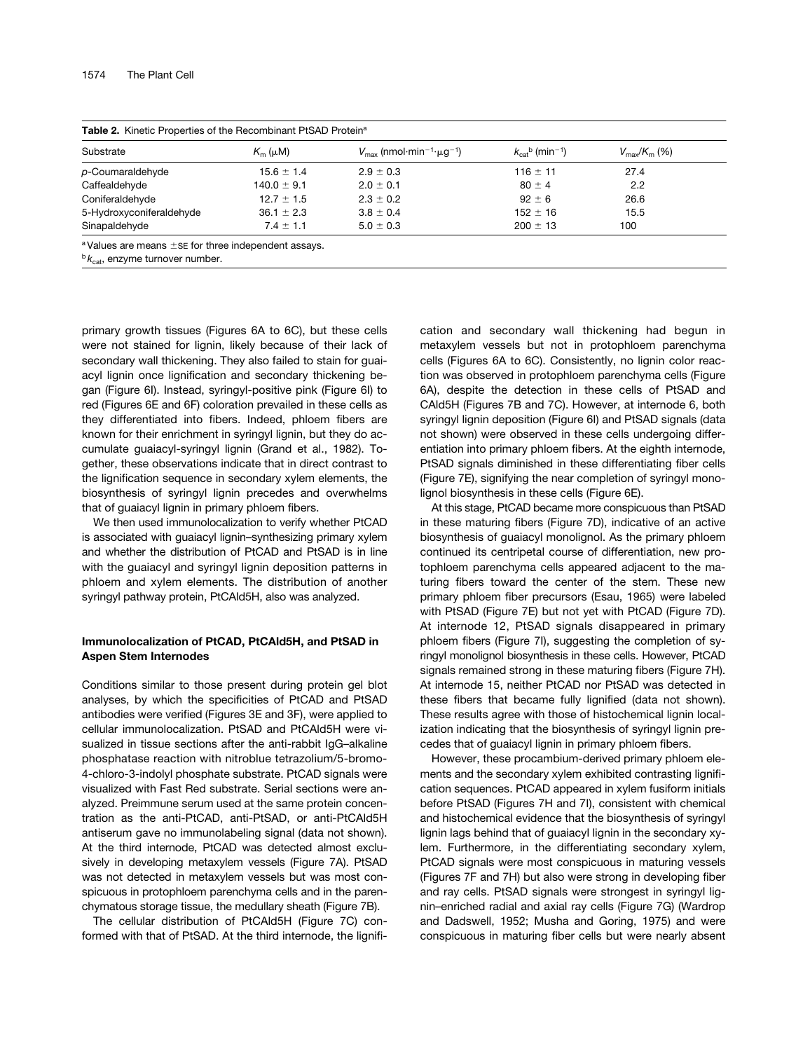| Substrate                | $K_{m}(\mu M)$  | $V_{\text{max}}$ (nmol·min <sup>-1</sup> · $\mu$ g <sup>-1</sup> ) | $k_{\text{cat}}^{b}$ (min <sup>-1</sup> ) | $V_{\rm max}/K_{\rm m}$ (%) |
|--------------------------|-----------------|--------------------------------------------------------------------|-------------------------------------------|-----------------------------|
| p-Coumaraldehyde         | $15.6 \pm 1.4$  | $2.9 \pm 0.3$                                                      | $116 \pm 11$                              | 27.4                        |
| Caffealdehyde            | $140.0 \pm 9.1$ | $2.0 \pm 0.1$                                                      | $80 \pm 4$                                | 2.2                         |
| Coniferaldehyde          | $12.7 \pm 1.5$  | $2.3 \pm 0.2$                                                      | $92 \pm 6$                                | 26.6                        |
| 5-Hydroxyconiferaldehyde | $36.1 \pm 2.3$  | $3.8 \pm 0.4$                                                      | $152 \pm 16$                              | 15.5                        |
| Sinapaldehyde            | $7.4 \pm 1.1$   | $5.0 \pm 0.3$                                                      | $200 \pm 13$                              | 100                         |

**Table 2.** Kinetic Properties of the Recombinant PtSAD Proteina

 $a$  Values are means  $\pm$  SE for three independent assays.

 $b_{k_{\text{cat}}}$ , enzyme turnover number.

primary growth tissues (Figures 6A to 6C), but these cells were not stained for lignin, likely because of their lack of secondary wall thickening. They also failed to stain for guaiacyl lignin once lignification and secondary thickening began (Figure 6I). Instead, syringyl-positive pink (Figure 6I) to red (Figures 6E and 6F) coloration prevailed in these cells as they differentiated into fibers. Indeed, phloem fibers are known for their enrichment in syringyl lignin, but they do accumulate guaiacyl-syringyl lignin (Grand et al., 1982). Together, these observations indicate that in direct contrast to the lignification sequence in secondary xylem elements, the biosynthesis of syringyl lignin precedes and overwhelms that of guaiacyl lignin in primary phloem fibers.

We then used immunolocalization to verify whether PtCAD is associated with guaiacyl lignin–synthesizing primary xylem and whether the distribution of PtCAD and PtSAD is in line with the guaiacyl and syringyl lignin deposition patterns in phloem and xylem elements. The distribution of another syringyl pathway protein, PtCAld5H, also was analyzed.

## **Immunolocalization of PtCAD, PtCAld5H, and PtSAD in Aspen Stem Internodes**

Conditions similar to those present during protein gel blot analyses, by which the specificities of PtCAD and PtSAD antibodies were verified (Figures 3E and 3F), were applied to cellular immunolocalization. PtSAD and PtCAld5H were visualized in tissue sections after the anti-rabbit IgG–alkaline phosphatase reaction with nitroblue tetrazolium/5-bromo-4-chloro-3-indolyl phosphate substrate. PtCAD signals were visualized with Fast Red substrate. Serial sections were analyzed. Preimmune serum used at the same protein concentration as the anti-PtCAD, anti-PtSAD, or anti-PtCAld5H antiserum gave no immunolabeling signal (data not shown). At the third internode, PtCAD was detected almost exclusively in developing metaxylem vessels (Figure 7A). PtSAD was not detected in metaxylem vessels but was most conspicuous in protophloem parenchyma cells and in the parenchymatous storage tissue, the medullary sheath (Figure 7B).

The cellular distribution of PtCAld5H (Figure 7C) conformed with that of PtSAD. At the third internode, the lignification and secondary wall thickening had begun in metaxylem vessels but not in protophloem parenchyma cells (Figures 6A to 6C). Consistently, no lignin color reaction was observed in protophloem parenchyma cells (Figure 6A), despite the detection in these cells of PtSAD and CAld5H (Figures 7B and 7C). However, at internode 6, both syringyl lignin deposition (Figure 6I) and PtSAD signals (data not shown) were observed in these cells undergoing differentiation into primary phloem fibers. At the eighth internode, PtSAD signals diminished in these differentiating fiber cells (Figure 7E), signifying the near completion of syringyl monolignol biosynthesis in these cells (Figure 6E).

At this stage, PtCAD became more conspicuous than PtSAD in these maturing fibers (Figure 7D), indicative of an active biosynthesis of guaiacyl monolignol. As the primary phloem continued its centripetal course of differentiation, new protophloem parenchyma cells appeared adjacent to the maturing fibers toward the center of the stem. These new primary phloem fiber precursors (Esau, 1965) were labeled with PtSAD (Figure 7E) but not yet with PtCAD (Figure 7D). At internode 12, PtSAD signals disappeared in primary phloem fibers (Figure 7I), suggesting the completion of syringyl monolignol biosynthesis in these cells. However, PtCAD signals remained strong in these maturing fibers (Figure 7H). At internode 15, neither PtCAD nor PtSAD was detected in these fibers that became fully lignified (data not shown). These results agree with those of histochemical lignin localization indicating that the biosynthesis of syringyl lignin precedes that of guaiacyl lignin in primary phloem fibers.

However, these procambium-derived primary phloem elements and the secondary xylem exhibited contrasting lignification sequences. PtCAD appeared in xylem fusiform initials before PtSAD (Figures 7H and 7I), consistent with chemical and histochemical evidence that the biosynthesis of syringyl lignin lags behind that of guaiacyl lignin in the secondary xylem. Furthermore, in the differentiating secondary xylem, PtCAD signals were most conspicuous in maturing vessels (Figures 7F and 7H) but also were strong in developing fiber and ray cells. PtSAD signals were strongest in syringyl lignin–enriched radial and axial ray cells (Figure 7G) (Wardrop and Dadswell, 1952; Musha and Goring, 1975) and were conspicuous in maturing fiber cells but were nearly absent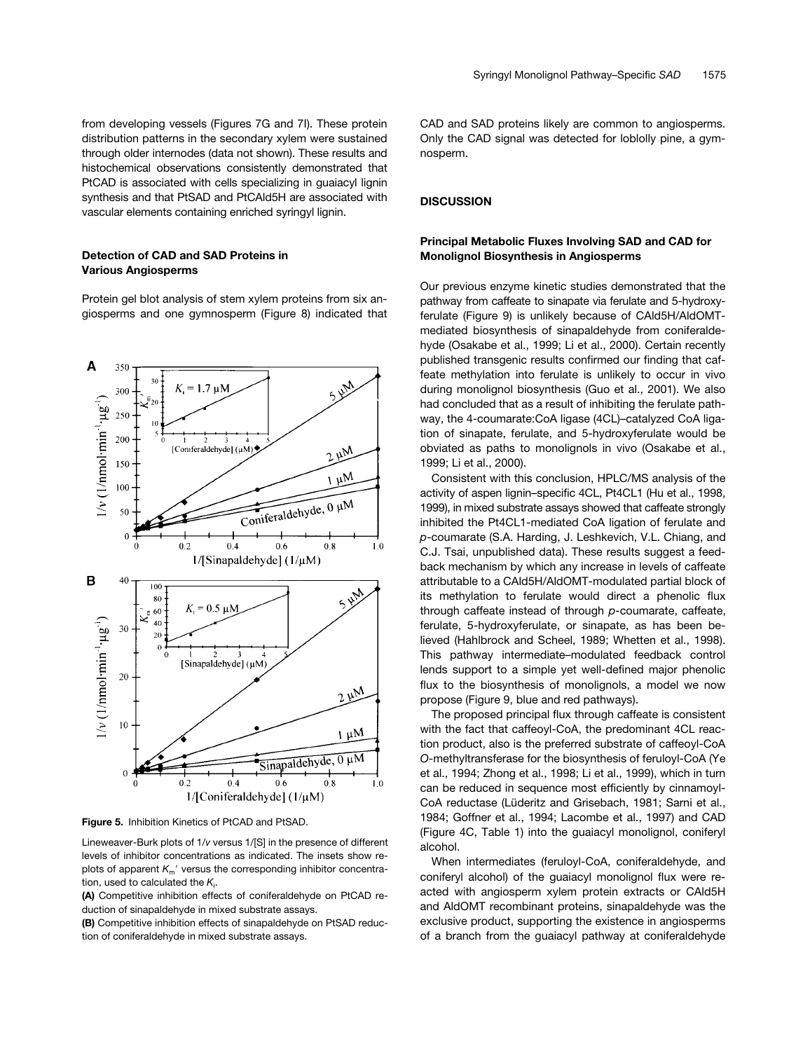from developing vessels (Figures 7G and 7I). These protein distribution patterns in the secondary xylem were sustained through older internodes (data not shown). These results and histochemical observations consistently demonstrated that PtCAD is associated with cells specializing in guaiacyl lignin synthesis and that PtSAD and PtCAld5H are associated with vascular elements containing enriched syringyl lignin.

## **Detection of CAD and SAD Proteins in Various Angiosperms**

Protein gel blot analysis of stem xylem proteins from six angiosperms and one gymnosperm (Figure 8) indicated that



**Figure 5.** Inhibition Kinetics of PtCAD and PtSAD.

Lineweaver-Burk plots of 1/*v* versus 1/[S] in the presence of different levels of inhibitor concentrations as indicated. The insets show replots of apparent  $K_m'$  versus the corresponding inhibitor concentration, used to calculated the K<sub>i</sub>.

**(A)** Competitive inhibition effects of coniferaldehyde on PtCAD reduction of sinapaldehyde in mixed substrate assays.

**(B)** Competitive inhibition effects of sinapaldehyde on PtSAD reduction of coniferaldehyde in mixed substrate assays.

CAD and SAD proteins likely are common to angiosperms. Only the CAD signal was detected for loblolly pine, a gymnosperm.

## **DISCUSSION**

## **Principal Metabolic Fluxes Involving SAD and CAD for Monolignol Biosynthesis in Angiosperms**

Our previous enzyme kinetic studies demonstrated that the pathway from caffeate to sinapate via ferulate and 5-hydroxyferulate (Figure 9) is unlikely because of CAld5H/AldOMTmediated biosynthesis of sinapaldehyde from coniferaldehyde (Osakabe et al., 1999; Li et al., 2000). Certain recently published transgenic results confirmed our finding that caffeate methylation into ferulate is unlikely to occur in vivo during monolignol biosynthesis (Guo et al., 2001). We also had concluded that as a result of inhibiting the ferulate pathway, the 4-coumarate:CoA ligase (4CL)–catalyzed CoA ligation of sinapate, ferulate, and 5-hydroxyferulate would be obviated as paths to monolignols in vivo (Osakabe et al., 1999; Li et al., 2000).

Consistent with this conclusion, HPLC/MS analysis of the activity of aspen lignin–specific 4CL, Pt4CL1 (Hu et al., 1998, 1999), in mixed substrate assays showed that caffeate strongly inhibited the Pt4CL1-mediated CoA ligation of ferulate and *p*-coumarate (S.A. Harding, J. Leshkevich, V.L. Chiang, and C.J. Tsai, unpublished data). These results suggest a feedback mechanism by which any increase in levels of caffeate attributable to a CAld5H/AldOMT-modulated partial block of its methylation to ferulate would direct a phenolic flux through caffeate instead of through *p*-coumarate, caffeate, ferulate, 5-hydroxyferulate, or sinapate, as has been believed (Hahlbrock and Scheel, 1989; Whetten et al., 1998). This pathway intermediate–modulated feedback control lends support to a simple yet well-defined major phenolic flux to the biosynthesis of monolignols, a model we now propose (Figure 9, blue and red pathways).

The proposed principal flux through caffeate is consistent with the fact that caffeoyl-CoA, the predominant 4CL reaction product, also is the preferred substrate of caffeoyl-CoA *O*-methyltransferase for the biosynthesis of feruloyl-CoA (Ye et al., 1994; Zhong et al., 1998; Li et al., 1999), which in turn can be reduced in sequence most efficiently by cinnamoyl-CoA reductase (Lüderitz and Grisebach, 1981; Sarni et al., 1984; Goffner et al., 1994; Lacombe et al., 1997) and CAD (Figure 4C, Table 1) into the guaiacyl monolignol, coniferyl alcohol.

When intermediates (feruloyl-CoA, coniferaldehyde, and coniferyl alcohol) of the guaiacyl monolignol flux were reacted with angiosperm xylem protein extracts or CAld5H and AldOMT recombinant proteins, sinapaldehyde was the exclusive product, supporting the existence in angiosperms of a branch from the guaiacyl pathway at coniferaldehyde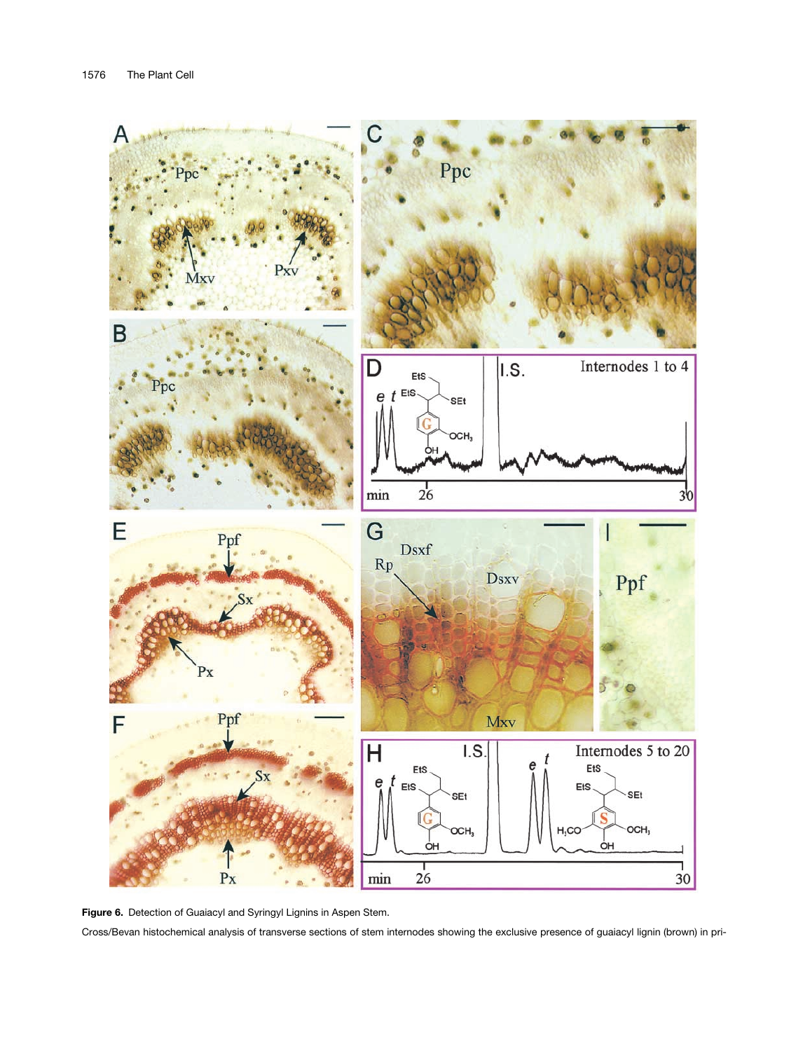

**Figure 6.** Detection of Guaiacyl and Syringyl Lignins in Aspen Stem. Cross/Bevan histochemical analysis of transverse sections of stem internodes showing the exclusive presence of guaiacyl lignin (brown) in pri-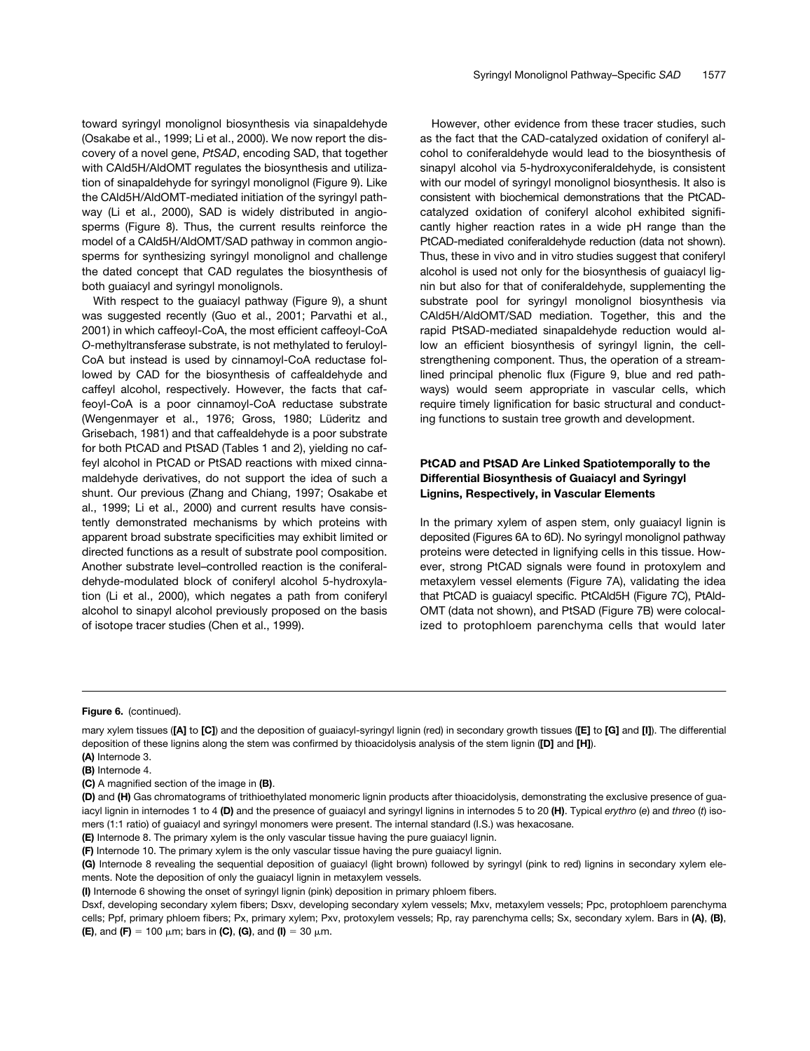toward syringyl monolignol biosynthesis via sinapaldehyde (Osakabe et al., 1999; Li et al., 2000). We now report the discovery of a novel gene, *PtSAD*, encoding SAD, that together with CAld5H/AldOMT regulates the biosynthesis and utilization of sinapaldehyde for syringyl monolignol (Figure 9). Like the CAld5H/AldOMT-mediated initiation of the syringyl pathway (Li et al., 2000), SAD is widely distributed in angiosperms (Figure 8). Thus, the current results reinforce the model of a CAld5H/AldOMT/SAD pathway in common angiosperms for synthesizing syringyl monolignol and challenge the dated concept that CAD regulates the biosynthesis of both guaiacyl and syringyl monolignols.

With respect to the guaiacyl pathway (Figure 9), a shunt was suggested recently (Guo et al., 2001; Parvathi et al., 2001) in which caffeoyl-CoA, the most efficient caffeoyl-CoA *O*-methyltransferase substrate, is not methylated to feruloyl-CoA but instead is used by cinnamoyl-CoA reductase followed by CAD for the biosynthesis of caffealdehyde and caffeyl alcohol, respectively. However, the facts that caffeoyl-CoA is a poor cinnamoyl-CoA reductase substrate (Wengenmayer et al., 1976; Gross, 1980; Lüderitz and Grisebach, 1981) and that caffealdehyde is a poor substrate for both PtCAD and PtSAD (Tables 1 and 2), yielding no caffeyl alcohol in PtCAD or PtSAD reactions with mixed cinnamaldehyde derivatives, do not support the idea of such a shunt. Our previous (Zhang and Chiang, 1997; Osakabe et al., 1999; Li et al., 2000) and current results have consistently demonstrated mechanisms by which proteins with apparent broad substrate specificities may exhibit limited or directed functions as a result of substrate pool composition. Another substrate level–controlled reaction is the coniferaldehyde-modulated block of coniferyl alcohol 5-hydroxylation (Li et al., 2000), which negates a path from coniferyl alcohol to sinapyl alcohol previously proposed on the basis of isotope tracer studies (Chen et al., 1999).

However, other evidence from these tracer studies, such as the fact that the CAD-catalyzed oxidation of coniferyl alcohol to coniferaldehyde would lead to the biosynthesis of sinapyl alcohol via 5-hydroxyconiferaldehyde, is consistent with our model of syringyl monolignol biosynthesis. It also is consistent with biochemical demonstrations that the PtCADcatalyzed oxidation of coniferyl alcohol exhibited significantly higher reaction rates in a wide pH range than the PtCAD-mediated coniferaldehyde reduction (data not shown). Thus, these in vivo and in vitro studies suggest that coniferyl alcohol is used not only for the biosynthesis of guaiacyl lignin but also for that of coniferaldehyde, supplementing the substrate pool for syringyl monolignol biosynthesis via CAld5H/AldOMT/SAD mediation. Together, this and the rapid PtSAD-mediated sinapaldehyde reduction would allow an efficient biosynthesis of syringyl lignin, the cellstrengthening component. Thus, the operation of a streamlined principal phenolic flux (Figure 9, blue and red pathways) would seem appropriate in vascular cells, which require timely lignification for basic structural and conducting functions to sustain tree growth and development.

## **PtCAD and PtSAD Are Linked Spatiotemporally to the Differential Biosynthesis of Guaiacyl and Syringyl Lignins, Respectively, in Vascular Elements**

In the primary xylem of aspen stem, only guaiacyl lignin is deposited (Figures 6A to 6D). No syringyl monolignol pathway proteins were detected in lignifying cells in this tissue. However, strong PtCAD signals were found in protoxylem and metaxylem vessel elements (Figure 7A), validating the idea that PtCAD is guaiacyl specific. PtCAld5H (Figure 7C), PtAld-OMT (data not shown), and PtSAD (Figure 7B) were colocalized to protophloem parenchyma cells that would later

#### **Figure 6.** (continued).

mary xylem tissues (**[A]** to **[C]**) and the deposition of guaiacyl-syringyl lignin (red) in secondary growth tissues (**[E]** to **[G]** and **[I]**). The differential deposition of these lignins along the stem was confirmed by thioacidolysis analysis of the stem lignin (**[D]** and **[H]**). **(A)** Internode 3.

**<sup>(</sup>B)** Internode 4.

**<sup>(</sup>C)** A magnified section of the image in **(B)**.

**<sup>(</sup>D)** and **(H)** Gas chromatograms of trithioethylated monomeric lignin products after thioacidolysis, demonstrating the exclusive presence of guaiacyl lignin in internodes 1 to 4 **(D)** and the presence of guaiacyl and syringyl lignins in internodes 5 to 20 **(H)**. Typical *erythro* (*e*) and *threo* (*t*) isomers (1:1 ratio) of guaiacyl and syringyl monomers were present. The internal standard (I.S.) was hexacosane.

**<sup>(</sup>E)** Internode 8. The primary xylem is the only vascular tissue having the pure guaiacyl lignin.

**<sup>(</sup>F)** Internode 10. The primary xylem is the only vascular tissue having the pure guaiacyl lignin.

**<sup>(</sup>G)** Internode 8 revealing the sequential deposition of guaiacyl (light brown) followed by syringyl (pink to red) lignins in secondary xylem elements. Note the deposition of only the guaiacyl lignin in metaxylem vessels.

**<sup>(</sup>I)** Internode 6 showing the onset of syringyl lignin (pink) deposition in primary phloem fibers.

Dsxf, developing secondary xylem fibers; Dsxv, developing secondary xylem vessels; Mxv, metaxylem vessels; Ppc, protophloem parenchyma cells; Ppf, primary phloem fibers; Px, primary xylem; Pxv, protoxylem vessels; Rp, ray parenchyma cells; Sx, secondary xylem. Bars in **(A)**, **(B)**, **(E)**, and **(F)** = 100  $\mu$ m; bars in **(C)**, **(G)**, and **(I)** = 30  $\mu$ m.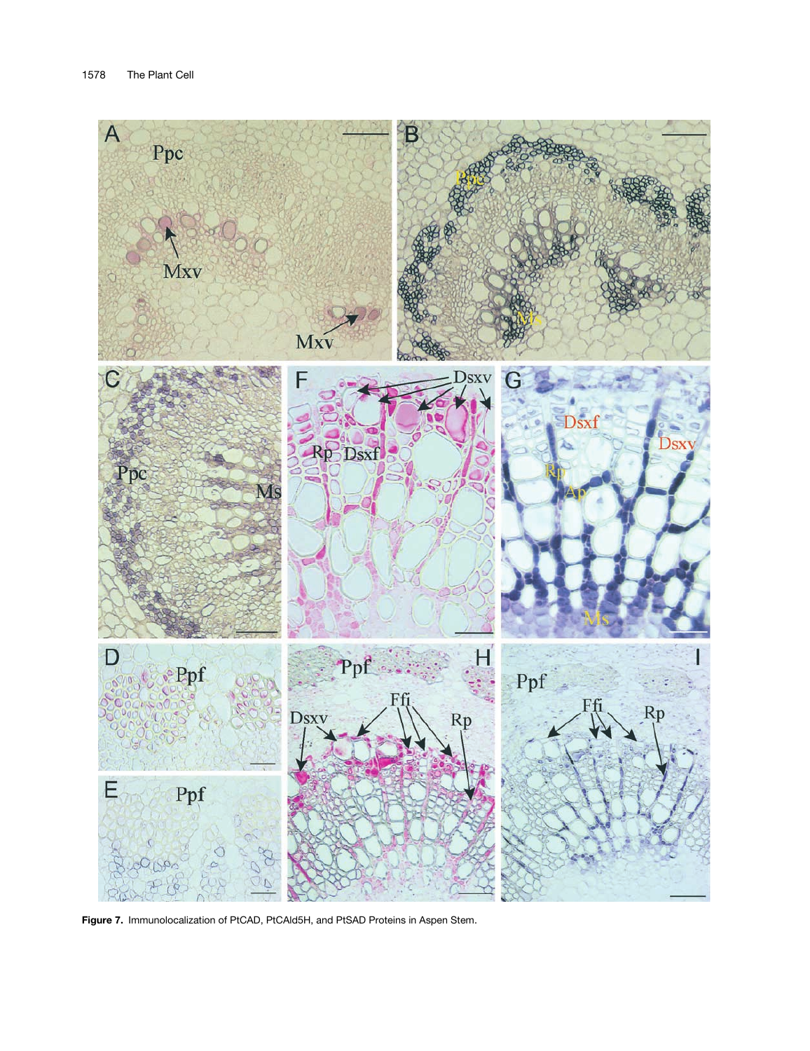

**Figure 7.** Immunolocalization of PtCAD, PtCAld5H, and PtSAD Proteins in Aspen Stem.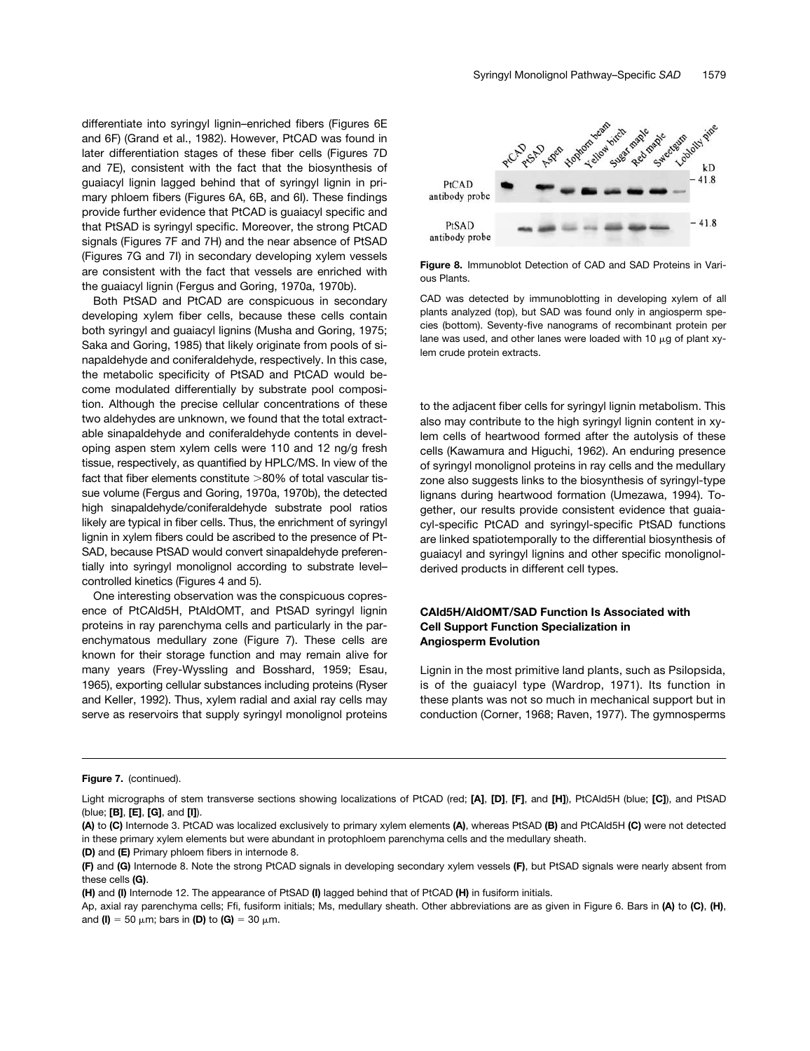differentiate into syringyl lignin–enriched fibers (Figures 6E and 6F) (Grand et al., 1982). However, PtCAD was found in later differentiation stages of these fiber cells (Figures 7D and 7E), consistent with the fact that the biosynthesis of guaiacyl lignin lagged behind that of syringyl lignin in primary phloem fibers (Figures 6A, 6B, and 6I). These findings provide further evidence that PtCAD is guaiacyl specific and that PtSAD is syringyl specific. Moreover, the strong PtCAD signals (Figures 7F and 7H) and the near absence of PtSAD (Figures 7G and 7I) in secondary developing xylem vessels are consistent with the fact that vessels are enriched with the guaiacyl lignin (Fergus and Goring, 1970a, 1970b).

Both PtSAD and PtCAD are conspicuous in secondary developing xylem fiber cells, because these cells contain both syringyl and guaiacyl lignins (Musha and Goring, 1975; Saka and Goring, 1985) that likely originate from pools of sinapaldehyde and coniferaldehyde, respectively. In this case, the metabolic specificity of PtSAD and PtCAD would become modulated differentially by substrate pool composition. Although the precise cellular concentrations of these two aldehydes are unknown, we found that the total extractable sinapaldehyde and coniferaldehyde contents in developing aspen stem xylem cells were 110 and 12 ng/g fresh tissue, respectively, as quantified by HPLC/MS. In view of the fact that fiber elements constitute 80% of total vascular tissue volume (Fergus and Goring, 1970a, 1970b), the detected high sinapaldehyde/coniferaldehyde substrate pool ratios likely are typical in fiber cells. Thus, the enrichment of syringyl lignin in xylem fibers could be ascribed to the presence of Pt-SAD, because PtSAD would convert sinapaldehyde preferentially into syringyl monolignol according to substrate level– controlled kinetics (Figures 4 and 5).

One interesting observation was the conspicuous copresence of PtCAld5H, PtAldOMT, and PtSAD syringyl lignin proteins in ray parenchyma cells and particularly in the parenchymatous medullary zone (Figure 7). These cells are known for their storage function and may remain alive for many years (Frey-Wyssling and Bosshard, 1959; Esau, 1965), exporting cellular substances including proteins (Ryser and Keller, 1992). Thus, xylem radial and axial ray cells may serve as reservoirs that supply syringyl monolignol proteins



**Figure 8.** Immunoblot Detection of CAD and SAD Proteins in Various Plants.

CAD was detected by immunoblotting in developing xylem of all plants analyzed (top), but SAD was found only in angiosperm species (bottom). Seventy-five nanograms of recombinant protein per lane was used, and other lanes were loaded with 10  $\mu$ q of plant xylem crude protein extracts.

to the adjacent fiber cells for syringyl lignin metabolism. This also may contribute to the high syringyl lignin content in xylem cells of heartwood formed after the autolysis of these cells (Kawamura and Higuchi, 1962). An enduring presence of syringyl monolignol proteins in ray cells and the medullary zone also suggests links to the biosynthesis of syringyl-type lignans during heartwood formation (Umezawa, 1994). Together, our results provide consistent evidence that guaiacyl-specific PtCAD and syringyl-specific PtSAD functions are linked spatiotemporally to the differential biosynthesis of guaiacyl and syringyl lignins and other specific monolignolderived products in different cell types.

## **CAld5H/AldOMT/SAD Function Is Associated with Cell Support Function Specialization in Angiosperm Evolution**

Lignin in the most primitive land plants, such as Psilopsida, is of the guaiacyl type (Wardrop, 1971). Its function in these plants was not so much in mechanical support but in conduction (Corner, 1968; Raven, 1977). The gymnosperms

**Figure 7.** (continued).

**(D)** and **(E)** Primary phloem fibers in internode 8.

Light micrographs of stem transverse sections showing localizations of PtCAD (red; **[A]**, **[D]**, **[F]**, and **[H]**), PtCAld5H (blue; **[C]**), and PtSAD (blue; **[B]**, **[E]**, **[G]**, and **[I]**).

**<sup>(</sup>A)** to **(C)** Internode 3. PtCAD was localized exclusively to primary xylem elements **(A)**, whereas PtSAD **(B)** and PtCAld5H **(C)** were not detected in these primary xylem elements but were abundant in protophloem parenchyma cells and the medullary sheath.

**<sup>(</sup>F)** and **(G)** Internode 8. Note the strong PtCAD signals in developing secondary xylem vessels **(F)**, but PtSAD signals were nearly absent from these cells **(G)**.

**<sup>(</sup>H)** and **(I)** Internode 12. The appearance of PtSAD **(I)** lagged behind that of PtCAD **(H)** in fusiform initials.

Ap, axial ray parenchyma cells; Ffi, fusiform initials; Ms, medullary sheath. Other abbreviations are as given in Figure 6. Bars in **(A)** to **(C)**, **(H)**, and **(I)** = 50  $\mu$ m; bars in **(D)** to **(G)** = 30  $\mu$ m.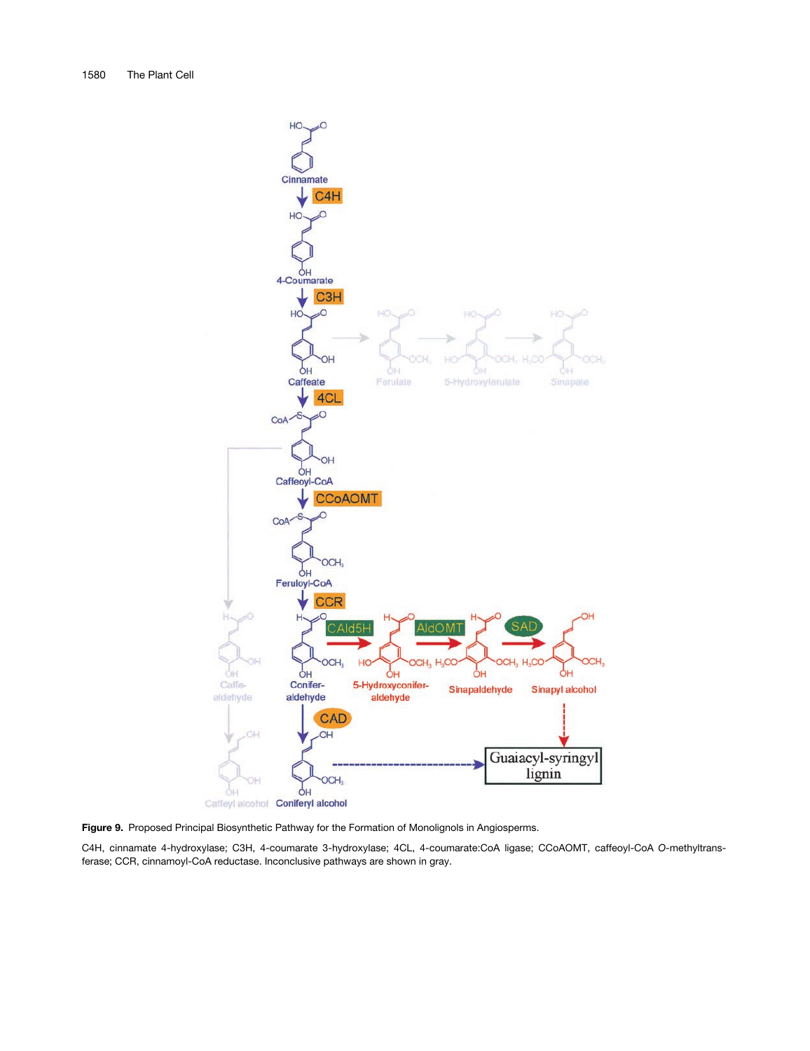

**Figure 9.** Proposed Principal Biosynthetic Pathway for the Formation of Monolignols in Angiosperms.

C4H, cinnamate 4-hydroxylase; C3H, 4-coumarate 3-hydroxylase; 4CL, 4-coumarate:CoA ligase; CCoAOMT, caffeoyl-CoA *O*-methyltransferase; CCR, cinnamoyl-CoA reductase. Inconclusive pathways are shown in gray.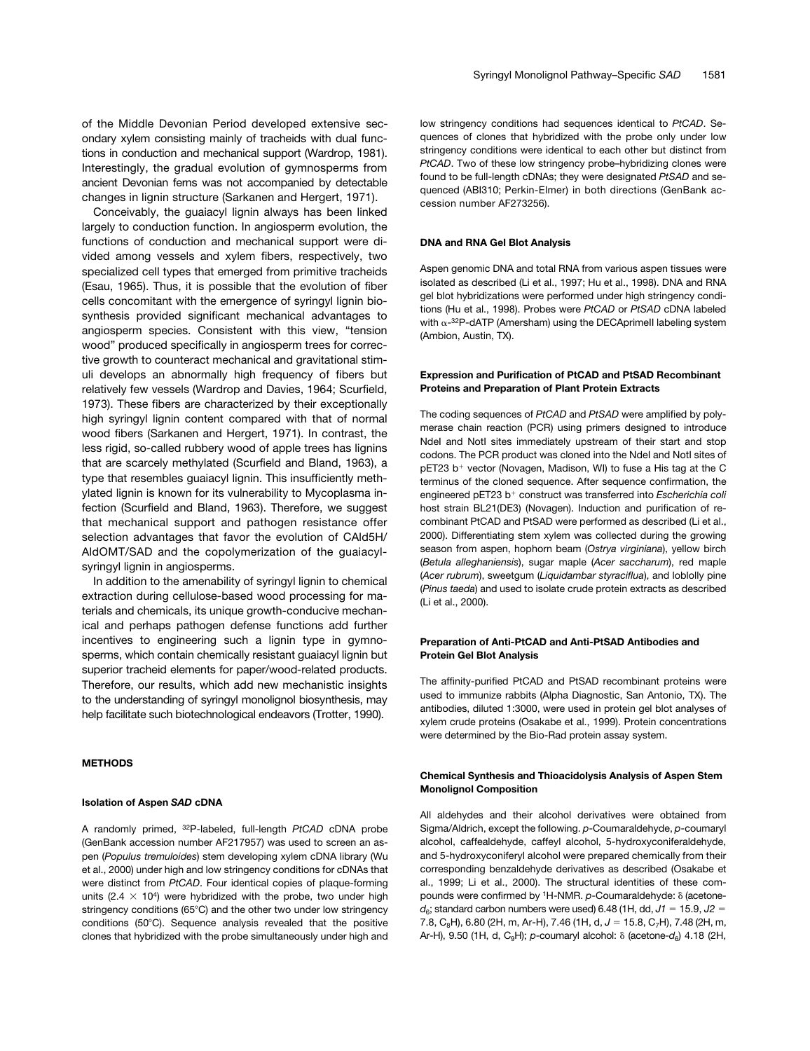of the Middle Devonian Period developed extensive secondary xylem consisting mainly of tracheids with dual functions in conduction and mechanical support (Wardrop, 1981). Interestingly, the gradual evolution of gymnosperms from ancient Devonian ferns was not accompanied by detectable changes in lignin structure (Sarkanen and Hergert, 1971).

Conceivably, the guaiacyl lignin always has been linked largely to conduction function. In angiosperm evolution, the functions of conduction and mechanical support were divided among vessels and xylem fibers, respectively, two specialized cell types that emerged from primitive tracheids (Esau, 1965). Thus, it is possible that the evolution of fiber cells concomitant with the emergence of syringyl lignin biosynthesis provided significant mechanical advantages to angiosperm species. Consistent with this view, "tension wood" produced specifically in angiosperm trees for corrective growth to counteract mechanical and gravitational stimuli develops an abnormally high frequency of fibers but relatively few vessels (Wardrop and Davies, 1964; Scurfield, 1973). These fibers are characterized by their exceptionally high syringyl lignin content compared with that of normal wood fibers (Sarkanen and Hergert, 1971). In contrast, the less rigid, so-called rubbery wood of apple trees has lignins that are scarcely methylated (Scurfield and Bland, 1963), a type that resembles guaiacyl lignin. This insufficiently methylated lignin is known for its vulnerability to Mycoplasma infection (Scurfield and Bland, 1963). Therefore, we suggest that mechanical support and pathogen resistance offer selection advantages that favor the evolution of CAld5H/ AldOMT/SAD and the copolymerization of the guaiacylsyringyl lignin in angiosperms.

In addition to the amenability of syringyl lignin to chemical extraction during cellulose-based wood processing for materials and chemicals, its unique growth-conducive mechanical and perhaps pathogen defense functions add further incentives to engineering such a lignin type in gymnosperms, which contain chemically resistant guaiacyl lignin but superior tracheid elements for paper/wood-related products. Therefore, our results, which add new mechanistic insights to the understanding of syringyl monolignol biosynthesis, may help facilitate such biotechnological endeavors (Trotter, 1990).

### **METHODS**

#### **Isolation of Aspen** *SAD* **cDNA**

A randomly primed, 32P-labeled, full-length *PtCAD* cDNA probe (GenBank accession number AF217957) was used to screen an aspen (*Populus tremuloides*) stem developing xylem cDNA library (Wu et al., 2000) under high and low stringency conditions for cDNAs that were distinct from *PtCAD*. Four identical copies of plaque-forming units (2.4  $\times$  10<sup>4</sup>) were hybridized with the probe, two under high stringency conditions (65°C) and the other two under low stringency conditions (50°C). Sequence analysis revealed that the positive clones that hybridized with the probe simultaneously under high and

low stringency conditions had sequences identical to *PtCAD*. Sequences of clones that hybridized with the probe only under low stringency conditions were identical to each other but distinct from *PtCAD*. Two of these low stringency probe–hybridizing clones were found to be full-length cDNAs; they were designated *PtSAD* and sequenced (ABI310; Perkin-Elmer) in both directions (GenBank accession number AF273256).

#### **DNA and RNA Gel Blot Analysis**

Aspen genomic DNA and total RNA from various aspen tissues were isolated as described (Li et al., 1997; Hu et al., 1998). DNA and RNA gel blot hybridizations were performed under high stringency conditions (Hu et al., 1998). Probes were *PtCAD* or *PtSAD* cDNA labeled with  $\alpha$ -32P-dATP (Amersham) using the DECAprimell labeling system (Ambion, Austin, TX).

#### **Expression and Purification of PtCAD and PtSAD Recombinant Proteins and Preparation of Plant Protein Extracts**

The coding sequences of *PtCAD* and *PtSAD* were amplified by polymerase chain reaction (PCR) using primers designed to introduce Ndel and Notl sites immediately upstream of their start and stop codons. The PCR product was cloned into the NdeI and NotI sites of pET23 b<sup>+</sup> vector (Novagen, Madison, WI) to fuse a His tag at the C terminus of the cloned sequence. After sequence confirmation, the engineered pET23 b<sup>+</sup> construct was transferred into *Escherichia coli* host strain BL21(DE3) (Novagen). Induction and purification of recombinant PtCAD and PtSAD were performed as described (Li et al., 2000). Differentiating stem xylem was collected during the growing season from aspen, hophorn beam (*Ostrya virginiana*), yellow birch (*Betula alleghaniensis*), sugar maple (*Acer saccharum*), red maple (*Acer rubrum*), sweetgum (*Liquidambar styraciflua*), and loblolly pine (*Pinus taeda*) and used to isolate crude protein extracts as described (Li et al., 2000).

## **Preparation of Anti-PtCAD and Anti-PtSAD Antibodies and Protein Gel Blot Analysis**

The affinity-purified PtCAD and PtSAD recombinant proteins were used to immunize rabbits (Alpha Diagnostic, San Antonio, TX). The antibodies, diluted 1:3000, were used in protein gel blot analyses of xylem crude proteins (Osakabe et al., 1999). Protein concentrations were determined by the Bio-Rad protein assay system.

### **Chemical Synthesis and Thioacidolysis Analysis of Aspen Stem Monolignol Composition**

All aldehydes and their alcohol derivatives were obtained from Sigma/Aldrich, except the following. *p*-Coumaraldehyde, *p*-coumaryl alcohol, caffealdehyde, caffeyl alcohol, 5-hydroxyconiferaldehyde, and 5-hydroxyconiferyl alcohol were prepared chemically from their corresponding benzaldehyde derivatives as described (Osakabe et al., 1999; Li et al., 2000). The structural identities of these compounds were confirmed by <sup>1</sup>H-NMR. p-Coumaraldehyde: δ (acetone $d_6$ ; standard carbon numbers were used) 6.48 (1H, dd,  $J1 = 15.9$ ,  $J2 =$ 7.8, C<sub>8</sub>H), 6.80 (2H, m, Ar-H), 7.46 (1H, d, J = 15.8, C<sub>7</sub>H), 7.48 (2H, m, Ar-H), 9.50 (1H, d, C<sub>9</sub>H); *p*-coumaryl alcohol:  $\delta$  (acetone- $d_6$ ) 4.18 (2H,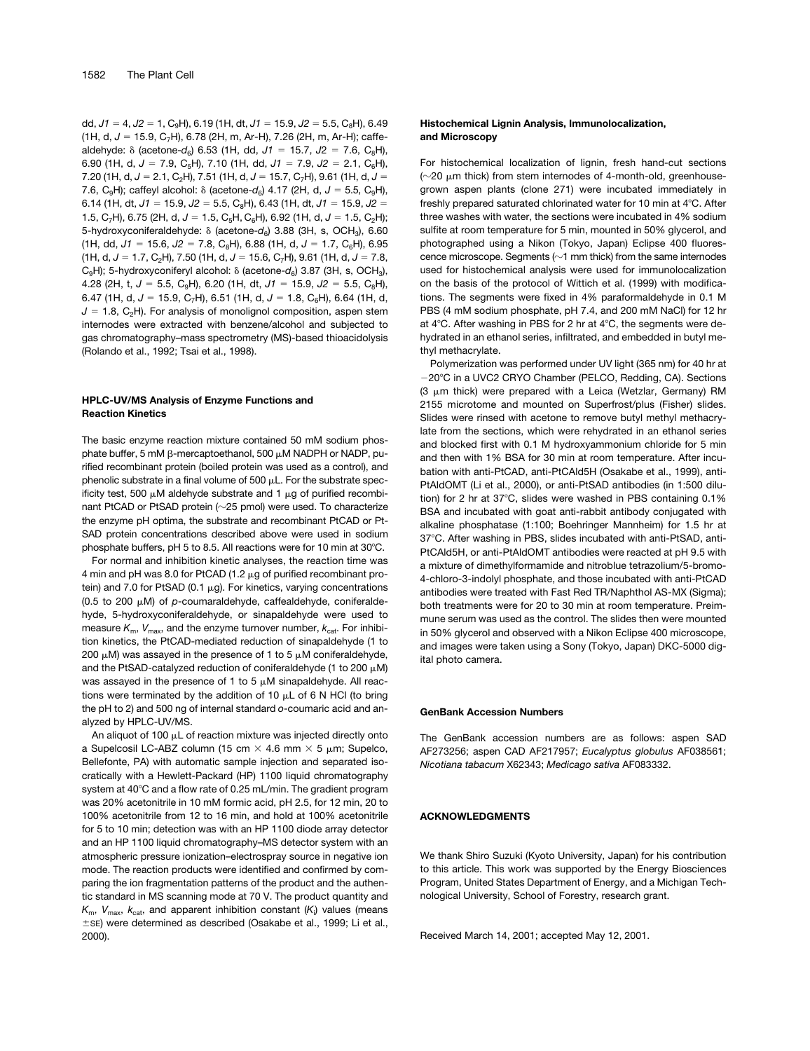dd,  $J1 = 4$ ,  $J2 = 1$ ,  $C_9H$ , 6.19 (1H, dt,  $J1 = 15.9$ ,  $J2 = 5.5$ ,  $C_8H$ ), 6.49 (1H, d, *J*  15.9, C7H), 6.78 (2H, m, Ar-H), 7.26 (2H, m, Ar-H); caffealdehyde:  $\delta$  (acetone- $d_6$ ) 6.53 (1H, dd,  $J1 = 15.7$ ,  $J2 = 7.6$ , C<sub>8</sub>H), 6.90 (1H, d,  $J = 7.9$ , C<sub>5</sub>H), 7.10 (1H, dd,  $J1 = 7.9$ ,  $J2 = 2.1$ , C<sub>6</sub>H), 7.20 (1H, d,  $J = 2.1$ , C<sub>2</sub>H), 7.51 (1H, d,  $J = 15.7$ , C<sub>7</sub>H), 9.61 (1H, d,  $J =$ 7.6, C<sub>9</sub>H); caffeyl alcohol:  $\delta$  (acetone- $d_6$ ) 4.17 (2H, d,  $J = 5.5$ , C<sub>9</sub>H), 6.14 (1H, dt,  $J1 = 15.9$ ,  $J2 = 5.5$ ,  $C_8H$ ), 6.43 (1H, dt,  $J1 = 15.9$ ,  $J2 =$ 1.5, C<sub>7</sub>H), 6.75 (2H, d,  $J = 1.5$ , C<sub>5</sub>H, C<sub>6</sub>H), 6.92 (1H, d,  $J = 1.5$ , C<sub>2</sub>H); 5-hydroxyconiferaldehyde:  $\delta$  (acetone- $d_{\delta}$ ) 3.88 (3H, s, OCH<sub>3</sub>), 6.60  $(1H, dd, J1 = 15.6, J2 = 7.8, C<sub>8</sub>H), 6.88 (1H, d, J = 1.7, C<sub>6</sub>H), 6.95$  $(1H, d, J = 1.7, C<sub>2</sub>H), 7.50 (1H, d, J = 15.6, C<sub>7</sub>H), 9.61 (1H, d, J = 7.8,$ C<sub>9</sub>H); 5-hydroxyconiferyl alcohol:  $\delta$  (acetone- $d_6$ ) 3.87 (3H, s, OCH<sub>3</sub>), 4.28 (2H, t,  $J = 5.5$ , C<sub>9</sub>H), 6.20 (1H, dt,  $J1 = 15.9$ ,  $J2 = 5.5$ , C<sub>8</sub>H), 6.47 (1H, d,  $J = 15.9$ , C<sub>7</sub>H), 6.51 (1H, d,  $J = 1.8$ , C<sub>6</sub>H), 6.64 (1H, d,  $J = 1.8$ , C<sub>2</sub>H). For analysis of monolignol composition, aspen stem internodes were extracted with benzene/alcohol and subjected to gas chromatography–mass spectrometry (MS)-based thioacidolysis (Rolando et al., 1992; Tsai et al., 1998).

## **HPLC-UV/MS Analysis of Enzyme Functions and Reaction Kinetics**

The basic enzyme reaction mixture contained 50 mM sodium phosphate buffer, 5 mM  $\beta$ -mercaptoethanol, 500  $\mu$ M NADPH or NADP, purified recombinant protein (boiled protein was used as a control), and phenolic substrate in a final volume of 500  $\mu$ L. For the substrate specificity test, 500  $\mu$ M aldehyde substrate and 1  $\mu$ g of purified recombinant PtCAD or PtSAD protein  $(\sim$ 25 pmol) were used. To characterize the enzyme pH optima, the substrate and recombinant PtCAD or Pt-SAD protein concentrations described above were used in sodium phosphate buffers, pH 5 to 8.5. All reactions were for 10 min at 30°C.

For normal and inhibition kinetic analyses, the reaction time was 4 min and pH was 8.0 for PtCAD (1.2  $\mu$ g of purified recombinant protein) and 7.0 for PtSAD (0.1  $\mu$ g). For kinetics, varying concentrations (0.5 to 200  $\mu$ M) of *p*-coumaraldehyde, caffealdehyde, coniferaldehyde, 5-hydroxyconiferaldehyde, or sinapaldehyde were used to measure  $K_{\text{m}}$ ,  $V_{\text{max}}$ , and the enzyme turnover number,  $k_{\text{cat}}$ . For inhibition kinetics, the PtCAD-mediated reduction of sinapaldehyde (1 to 200  $\mu$ M) was assayed in the presence of 1 to 5  $\mu$ M coniferaldehyde, and the PtSAD-catalyzed reduction of coniferaldehyde (1 to 200  $\mu$ M) was assayed in the presence of 1 to 5  $\mu$ M sinapaldehyde. All reactions were terminated by the addition of 10  $\mu$ L of 6 N HCl (to bring the pH to 2) and 500 ng of internal standard *o*-coumaric acid and analyzed by HPLC-UV/MS.

An aliquot of 100  $\mu$ L of reaction mixture was injected directly onto a Supelcosil LC-ABZ column (15 cm  $\times$  4.6 mm  $\times$  5  $\mu$ m; Supelco, Bellefonte, PA) with automatic sample injection and separated isocratically with a Hewlett-Packard (HP) 1100 liquid chromatography system at 40°C and a flow rate of 0.25 mL/min. The gradient program was 20% acetonitrile in 10 mM formic acid, pH 2.5, for 12 min, 20 to 100% acetonitrile from 12 to 16 min, and hold at 100% acetonitrile for 5 to 10 min; detection was with an HP 1100 diode array detector and an HP 1100 liquid chromatography–MS detector system with an atmospheric pressure ionization–electrospray source in negative ion mode. The reaction products were identified and confirmed by comparing the ion fragmentation patterns of the product and the authentic standard in MS scanning mode at 70 V. The product quantity and  $\mathcal{K}_{\mathsf{m}}$ ,  $\mathcal{V}_{\mathsf{max}},\ \mathcal{K}_{\mathsf{cat}},$  and apparent inhibition constant  $(\mathcal{K}_{\mathsf{i}})$  values (means  $\pm$ SE) were determined as described (Osakabe et al., 1999; Li et al., 2000).

#### **Histochemical Lignin Analysis, Immunolocalization, and Microscopy**

For histochemical localization of lignin, fresh hand-cut sections ( $\sim$ 20  $\mu$ m thick) from stem internodes of 4-month-old, greenhousegrown aspen plants (clone 271) were incubated immediately in freshly prepared saturated chlorinated water for 10 min at 4°C. After three washes with water, the sections were incubated in 4% sodium sulfite at room temperature for 5 min, mounted in 50% glycerol, and photographed using a Nikon (Tokyo, Japan) Eclipse 400 fluorescence microscope. Segments ( $\sim$ 1 mm thick) from the same internodes used for histochemical analysis were used for immunolocalization on the basis of the protocol of Wittich et al. (1999) with modifications. The segments were fixed in 4% paraformaldehyde in 0.1 M PBS (4 mM sodium phosphate, pH 7.4, and 200 mM NaCl) for 12 hr at  $4^{\circ}$ C. After washing in PBS for 2 hr at  $4^{\circ}$ C, the segments were dehydrated in an ethanol series, infiltrated, and embedded in butyl methyl methacrylate.

Polymerization was performed under UV light (365 nm) for 40 hr at -20°C in a UVC2 CRYO Chamber (PELCO, Redding, CA). Sections (3 µm thick) were prepared with a Leica (Wetzlar, Germany) RM 2155 microtome and mounted on Superfrost/plus (Fisher) slides. Slides were rinsed with acetone to remove butyl methyl methacrylate from the sections, which were rehydrated in an ethanol series and blocked first with 0.1 M hydroxyammonium chloride for 5 min and then with 1% BSA for 30 min at room temperature. After incubation with anti-PtCAD, anti-PtCAld5H (Osakabe et al., 1999), anti-PtAldOMT (Li et al., 2000), or anti-PtSAD antibodies (in 1:500 dilution) for 2 hr at 37°C, slides were washed in PBS containing 0.1% BSA and incubated with goat anti-rabbit antibody conjugated with alkaline phosphatase (1:100; Boehringer Mannheim) for 1.5 hr at 37°C. After washing in PBS, slides incubated with anti-PtSAD, anti-PtCAld5H, or anti-PtAldOMT antibodies were reacted at pH 9.5 with a mixture of dimethylformamide and nitroblue tetrazolium/5-bromo-4-chloro-3-indolyl phosphate, and those incubated with anti-PtCAD antibodies were treated with Fast Red TR/Naphthol AS-MX (Sigma); both treatments were for 20 to 30 min at room temperature. Preimmune serum was used as the control. The slides then were mounted in 50% glycerol and observed with a Nikon Eclipse 400 microscope, and images were taken using a Sony (Tokyo, Japan) DKC-5000 digital photo camera.

#### **GenBank Accession Numbers**

The GenBank accession numbers are as follows: aspen SAD AF273256; aspen CAD AF217957; *Eucalyptus globulus* AF038561; *Nicotiana tabacum* X62343; *Medicago sativa* AF083332.

### **ACKNOWLEDGMENTS**

We thank Shiro Suzuki (Kyoto University, Japan) for his contribution to this article. This work was supported by the Energy Biosciences Program, United States Department of Energy, and a Michigan Technological University, School of Forestry, research grant.

Received March 14, 2001; accepted May 12, 2001.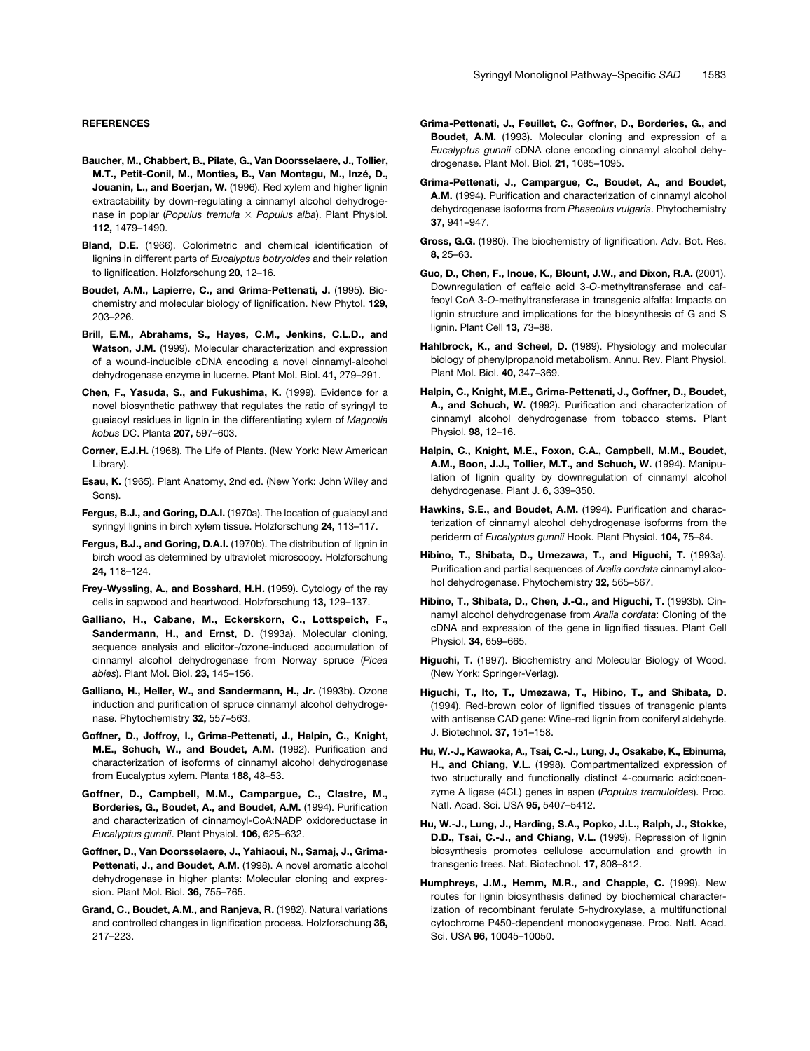#### **REFERENCES**

- **Baucher, M., Chabbert, B., Pilate, G., Van Doorsselaere, J., Tollier, M.T., Petit-Conil, M., Monties, B., Van Montagu, M., Inzé, D., Jouanin, L., and Boerjan, W.** (1996). Red xylem and higher lignin extractability by down-regulating a cinnamyl alcohol dehydrogenase in poplar (*Populus tremula Populus alba*). Plant Physiol. **112,** 1479–1490.
- **Bland, D.E.** (1966). Colorimetric and chemical identification of lignins in different parts of *Eucalyptus botryoides* and their relation to lignification. Holzforschung **20,** 12–16.
- **Boudet, A.M., Lapierre, C., and Grima-Pettenati, J.** (1995). Biochemistry and molecular biology of lignification. New Phytol. **129,** 203–226.
- **Brill, E.M., Abrahams, S., Hayes, C.M., Jenkins, C.L.D., and Watson, J.M.** (1999). Molecular characterization and expression of a wound-inducible cDNA encoding a novel cinnamyl-alcohol dehydrogenase enzyme in lucerne. Plant Mol. Biol. **41,** 279–291.
- **Chen, F., Yasuda, S., and Fukushima, K.** (1999). Evidence for a novel biosynthetic pathway that regulates the ratio of syringyl to guaiacyl residues in lignin in the differentiating xylem of *Magnolia kobus* DC. Planta **207,** 597–603.
- **Corner, E.J.H.** (1968). The Life of Plants. (New York: New American Library).
- **Esau, K.** (1965). Plant Anatomy, 2nd ed. (New York: John Wiley and Sons).
- **Fergus, B.J., and Goring, D.A.I.** (1970a). The location of guaiacyl and syringyl lignins in birch xylem tissue. Holzforschung **24,** 113–117.
- **Fergus, B.J., and Goring, D.A.I.** (1970b). The distribution of lignin in birch wood as determined by ultraviolet microscopy. Holzforschung **24,** 118–124.
- **Frey-Wyssling, A., and Bosshard, H.H.** (1959). Cytology of the ray cells in sapwood and heartwood. Holzforschung **13,** 129–137.
- **Galliano, H., Cabane, M., Eckerskorn, C., Lottspeich, F., Sandermann, H., and Ernst, D.** (1993a). Molecular cloning, sequence analysis and elicitor-/ozone-induced accumulation of cinnamyl alcohol dehydrogenase from Norway spruce (*Picea abies*). Plant Mol. Biol. **23,** 145–156.
- **Galliano, H., Heller, W., and Sandermann, H., Jr.** (1993b). Ozone induction and purification of spruce cinnamyl alcohol dehydrogenase. Phytochemistry **32,** 557–563.
- **Goffner, D., Joffroy, I., Grima-Pettenati, J., Halpin, C., Knight, M.E., Schuch, W., and Boudet, A.M.** (1992). Purification and characterization of isoforms of cinnamyl alcohol dehydrogenase from Eucalyptus xylem. Planta **188,** 48–53.
- **Goffner, D., Campbell, M.M., Campargue, C., Clastre, M., Borderies, G., Boudet, A., and Boudet, A.M.** (1994). Purification and characterization of cinnamoyl-CoA:NADP oxidoreductase in *Eucalyptus gunnii*. Plant Physiol. **106,** 625–632.
- **Goffner, D., Van Doorsselaere, J., Yahiaoui, N., Samaj, J., Grima-**Pettenati, J., and Boudet, A.M. (1998). A novel aromatic alcohol dehydrogenase in higher plants: Molecular cloning and expression. Plant Mol. Biol. **36,** 755–765.
- **Grand, C., Boudet, A.M., and Ranjeva, R.** (1982). Natural variations and controlled changes in lignification process. Holzforschung **36,** 217–223.
- **Grima-Pettenati, J., Feuillet, C., Goffner, D., Borderies, G., and Boudet, A.M.** (1993). Molecular cloning and expression of a *Eucalyptus gunnii* cDNA clone encoding cinnamyl alcohol dehydrogenase. Plant Mol. Biol. **21,** 1085–1095.
- **Grima-Pettenati, J., Campargue, C., Boudet, A., and Boudet, A.M.** (1994). Purification and characterization of cinnamyl alcohol dehydrogenase isoforms from *Phaseolus vulgaris*. Phytochemistry **37,** 941–947.
- **Gross, G.G.** (1980). The biochemistry of lignification. Adv. Bot. Res. **8,** 25–63.
- **Guo, D., Chen, F., Inoue, K., Blount, J.W., and Dixon, R.A.** (2001). Downregulation of caffeic acid 3-*O*-methyltransferase and caffeoyl CoA 3-*O*-methyltransferase in transgenic alfalfa: Impacts on lignin structure and implications for the biosynthesis of G and S lignin. Plant Cell **13,** 73–88.
- **Hahlbrock, K., and Scheel, D.** (1989). Physiology and molecular biology of phenylpropanoid metabolism. Annu. Rev. Plant Physiol. Plant Mol. Biol. **40,** 347–369.
- **Halpin, C., Knight, M.E., Grima-Pettenati, J., Goffner, D., Boudet, A., and Schuch, W.** (1992). Purification and characterization of cinnamyl alcohol dehydrogenase from tobacco stems. Plant Physiol. **98,** 12–16.
- **Halpin, C., Knight, M.E., Foxon, C.A., Campbell, M.M., Boudet, A.M., Boon, J.J., Tollier, M.T., and Schuch, W.** (1994). Manipulation of lignin quality by downregulation of cinnamyl alcohol dehydrogenase. Plant J. **6,** 339–350.
- **Hawkins, S.E., and Boudet, A.M.** (1994). Purification and characterization of cinnamyl alcohol dehydrogenase isoforms from the periderm of *Eucalyptus gunnii* Hook. Plant Physiol. **104,** 75–84.
- **Hibino, T., Shibata, D., Umezawa, T., and Higuchi, T.** (1993a). Purification and partial sequences of *Aralia cordata* cinnamyl alcohol dehydrogenase. Phytochemistry **32,** 565–567.
- **Hibino, T., Shibata, D., Chen, J.-Q., and Higuchi, T.** (1993b). Cinnamyl alcohol dehydrogenase from *Aralia cordata*: Cloning of the cDNA and expression of the gene in lignified tissues. Plant Cell Physiol. **34,** 659–665.
- **Higuchi, T.** (1997). Biochemistry and Molecular Biology of Wood. (New York: Springer-Verlag).
- **Higuchi, T., Ito, T., Umezawa, T., Hibino, T., and Shibata, D.** (1994). Red-brown color of lignified tissues of transgenic plants with antisense CAD gene: Wine-red lignin from coniferyl aldehyde. J. Biotechnol. **37,** 151–158.
- **Hu, W.-J., Kawaoka, A., Tsai, C.-J., Lung, J., Osakabe, K., Ebinuma, H., and Chiang, V.L.** (1998). Compartmentalized expression of two structurally and functionally distinct 4-coumaric acid:coenzyme A ligase (4CL) genes in aspen (*Populus tremuloides*). Proc. Natl. Acad. Sci. USA **95,** 5407–5412.
- **Hu, W.-J., Lung, J., Harding, S.A., Popko, J.L., Ralph, J., Stokke, D.D., Tsai, C.-J., and Chiang, V.L.** (1999). Repression of lignin biosynthesis promotes cellulose accumulation and growth in transgenic trees. Nat. Biotechnol. **17,** 808–812.
- **Humphreys, J.M., Hemm, M.R., and Chapple, C.** (1999). New routes for lignin biosynthesis defined by biochemical characterization of recombinant ferulate 5-hydroxylase, a multifunctional cytochrome P450-dependent monooxygenase. Proc. Natl. Acad. Sci. USA **96,** 10045–10050.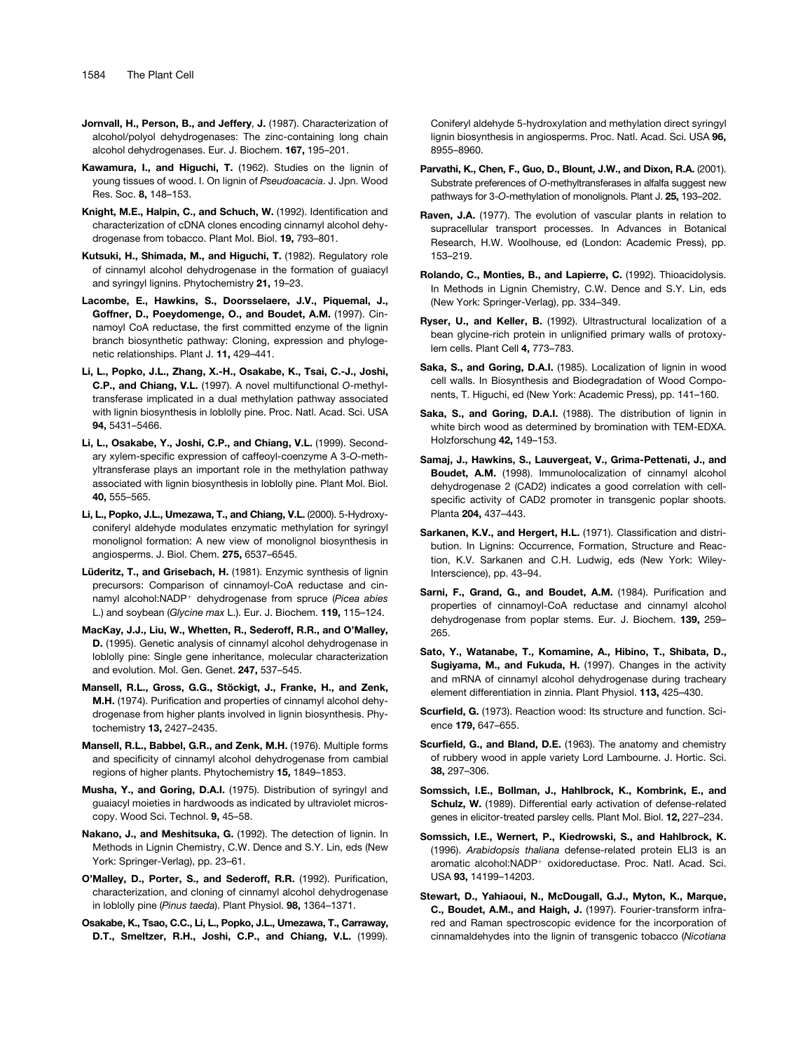- **Jornvall, H., Person, B., and Jeffery**, **J.** (1987). Characterization of alcohol/polyol dehydrogenases: The zinc-containing long chain alcohol dehydrogenases. Eur. J. Biochem. **167,** 195–201.
- **Kawamura, I., and Higuchi, T.** (1962). Studies on the lignin of young tissues of wood. I. On lignin of *Pseudoacacia*. J. Jpn. Wood Res. Soc. **8,** 148–153.
- **Knight, M.E., Halpin, C., and Schuch, W.** (1992). Identification and characterization of cDNA clones encoding cinnamyl alcohol dehydrogenase from tobacco. Plant Mol. Biol. **19,** 793–801.
- **Kutsuki, H., Shimada, M., and Higuchi, T.** (1982). Regulatory role of cinnamyl alcohol dehydrogenase in the formation of guaiacyl and syringyl lignins. Phytochemistry **21,** 19–23.
- **Lacombe, E., Hawkins, S., Doorsselaere, J.V., Piquemal, J., Goffner, D., Poeydomenge, O., and Boudet, A.M.** (1997). Cinnamoyl CoA reductase, the first committed enzyme of the lignin branch biosynthetic pathway: Cloning, expression and phylogenetic relationships. Plant J. **11,** 429–441.
- **Li, L., Popko, J.L., Zhang, X.-H., Osakabe, K., Tsai, C.-J., Joshi, C.P., and Chiang, V.L.** (1997). A novel multifunctional *O*-methyltransferase implicated in a dual methylation pathway associated with lignin biosynthesis in loblolly pine. Proc. Natl. Acad. Sci. USA **94,** 5431–5466.
- **Li, L., Osakabe, Y., Joshi, C.P., and Chiang, V.L.** (1999). Secondary xylem-specific expression of caffeoyl-coenzyme A 3-*O*-methyltransferase plays an important role in the methylation pathway associated with lignin biosynthesis in loblolly pine. Plant Mol. Biol. **40,** 555–565.
- **Li, L., Popko, J.L., Umezawa, T., and Chiang, V.L.** (2000). 5-Hydroxyconiferyl aldehyde modulates enzymatic methylation for syringyl monolignol formation: A new view of monolignol biosynthesis in angiosperms. J. Biol. Chem. **275,** 6537–6545.
- **Lüderitz, T., and Grisebach, H.** (1981). Enzymic synthesis of lignin precursors: Comparison of cinnamoyl-CoA reductase and cinnamyl alcohol:NADP- dehydrogenase from spruce (*Picea abies* L.) and soybean (*Glycine max* L.). Eur. J. Biochem. **119,** 115–124.
- **MacKay, J.J., Liu, W., Whetten, R., Sederoff, R.R., and O'Malley, D.** (1995). Genetic analysis of cinnamyl alcohol dehydrogenase in loblolly pine: Single gene inheritance, molecular characterization and evolution. Mol. Gen. Genet. **247,** 537–545.
- **Mansell, R.L., Gross, G.G., Stöckigt, J., Franke, H., and Zenk, M.H.** (1974). Purification and properties of cinnamyl alcohol dehydrogenase from higher plants involved in lignin biosynthesis. Phytochemistry **13,** 2427–2435.
- **Mansell, R.L., Babbel, G.R., and Zenk, M.H.** (1976). Multiple forms and specificity of cinnamyl alcohol dehydrogenase from cambial regions of higher plants. Phytochemistry **15,** 1849–1853.
- **Musha, Y., and Goring, D.A.I.** (1975). Distribution of syringyl and guaiacyl moieties in hardwoods as indicated by ultraviolet microscopy. Wood Sci. Technol. **9,** 45–58.
- **Nakano, J., and Meshitsuka, G.** (1992). The detection of lignin. In Methods in Lignin Chemistry, C.W. Dence and S.Y. Lin, eds (New York: Springer-Verlag), pp. 23–61.
- **O'Malley, D., Porter, S., and Sederoff, R.R.** (1992). Purification, characterization, and cloning of cinnamyl alcohol dehydrogenase in loblolly pine (*Pinus taeda*). Plant Physiol. **98,** 1364–1371.
- **Osakabe, K., Tsao, C.C., Li, L., Popko, J.L., Umezawa, T., Carraway, D.T., Smeltzer, R.H., Joshi, C.P., and Chiang, V.L.** (1999).

Coniferyl aldehyde 5-hydroxylation and methylation direct syringyl lignin biosynthesis in angiosperms. Proc. Natl. Acad. Sci. USA **96,** 8955–8960.

- **Parvathi, K., Chen, F., Guo, D., Blount, J.W., and Dixon, R.A.** (2001). Substrate preferences of *O*-methyltransferases in alfalfa suggest new pathways for 3-*O*-methylation of monolignols. Plant J. **25,** 193–202.
- **Raven, J.A.** (1977). The evolution of vascular plants in relation to supracellular transport processes. In Advances in Botanical Research, H.W. Woolhouse, ed (London: Academic Press), pp. 153–219.
- **Rolando, C., Monties, B., and Lapierre, C.** (1992). Thioacidolysis. In Methods in Lignin Chemistry, C.W. Dence and S.Y. Lin, eds (New York: Springer-Verlag), pp. 334–349.
- **Ryser, U., and Keller, B.** (1992). Ultrastructural localization of a bean glycine-rich protein in unlignified primary walls of protoxylem cells. Plant Cell **4,** 773–783.
- **Saka, S., and Goring, D.A.I.** (1985). Localization of lignin in wood cell walls. In Biosynthesis and Biodegradation of Wood Components, T. Higuchi, ed (New York: Academic Press), pp. 141–160.
- **Saka, S., and Goring, D.A.I.** (1988). The distribution of lignin in white birch wood as determined by bromination with TEM-EDXA. Holzforschung **42,** 149–153.
- **Samaj, J., Hawkins, S., Lauvergeat, V., Grima-Pettenati, J., and Boudet, A.M.** (1998). Immunolocalization of cinnamyl alcohol dehydrogenase 2 (CAD2) indicates a good correlation with cellspecific activity of CAD2 promoter in transgenic poplar shoots. Planta **204,** 437–443.
- **Sarkanen, K.V., and Hergert, H.L.** (1971). Classification and distribution. In Lignins: Occurrence, Formation, Structure and Reaction, K.V. Sarkanen and C.H. Ludwig, eds (New York: Wiley-Interscience), pp. 43–94.
- **Sarni, F., Grand, G., and Boudet, A.M.** (1984). Purification and properties of cinnamoyl-CoA reductase and cinnamyl alcohol dehydrogenase from poplar stems. Eur. J. Biochem. **139,** 259– 265.
- **Sato, Y., Watanabe, T., Komamine, A., Hibino, T., Shibata, D., Sugiyama, M., and Fukuda, H.** (1997). Changes in the activity and mRNA of cinnamyl alcohol dehydrogenase during tracheary element differentiation in zinnia. Plant Physiol. **113,** 425–430.
- **Scurfield, G.** (1973). Reaction wood: Its structure and function. Science **179,** 647–655.
- **Scurfield, G., and Bland, D.E.** (1963). The anatomy and chemistry of rubbery wood in apple variety Lord Lambourne. J. Hortic. Sci. **38,** 297–306.
- **Somssich, I.E., Bollman, J., Hahlbrock, K., Kombrink, E., and Schulz, W.** (1989). Differential early activation of defense-related genes in elicitor-treated parsley cells. Plant Mol. Biol. **12,** 227–234.
- **Somssich, I.E., Wernert, P., Kiedrowski, S., and Hahlbrock, K.** (1996). *Arabidopsis thaliana* defense-related protein ELI3 is an aromatic alcohol:NADP<sup>+</sup> oxidoreductase. Proc. Natl. Acad. Sci. USA **93,** 14199–14203.
- **Stewart, D., Yahiaoui, N., McDougall, G.J., Myton, K., Marque, C., Boudet, A.M., and Haigh, J.** (1997). Fourier-transform infrared and Raman spectroscopic evidence for the incorporation of cinnamaldehydes into the lignin of transgenic tobacco (*Nicotiana*